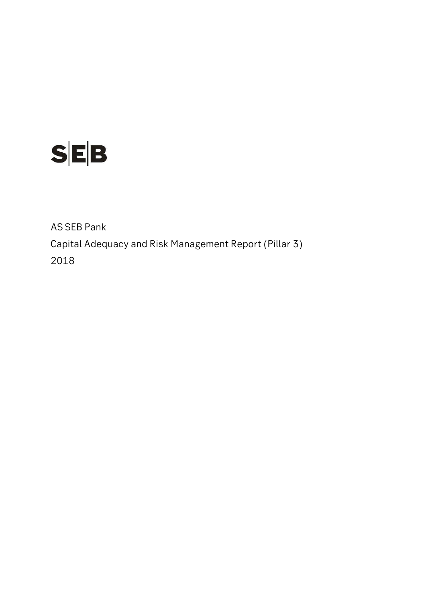

AS SEB Pank Capital Adequacy and Risk Management Report (Pillar 3) 2018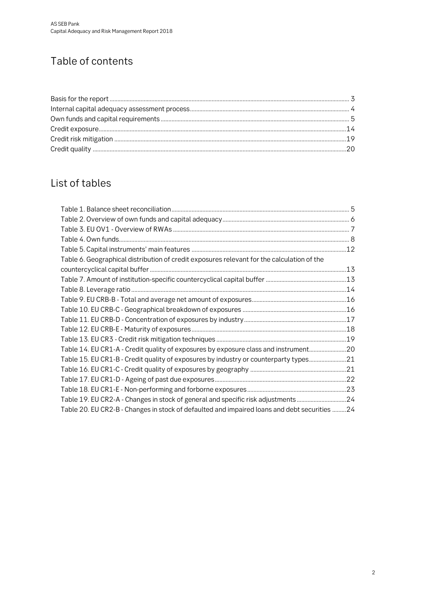# Table of contents

### List of tables

| Table 6. Geographical distribution of credit exposures relevant for the calculation of the   |  |
|----------------------------------------------------------------------------------------------|--|
|                                                                                              |  |
|                                                                                              |  |
|                                                                                              |  |
|                                                                                              |  |
|                                                                                              |  |
|                                                                                              |  |
|                                                                                              |  |
|                                                                                              |  |
| Table 14. EU CR1-A - Credit quality of exposures by exposure class and instrument20          |  |
| Table 15. EU CR1-B - Credit quality of exposures by industry or counterparty types21         |  |
|                                                                                              |  |
|                                                                                              |  |
|                                                                                              |  |
| Table 19. EU CR2-A - Changes in stock of general and specific risk adjustments24             |  |
| Table 20. EU CR2-B - Changes in stock of defaulted and impaired loans and debt securities 24 |  |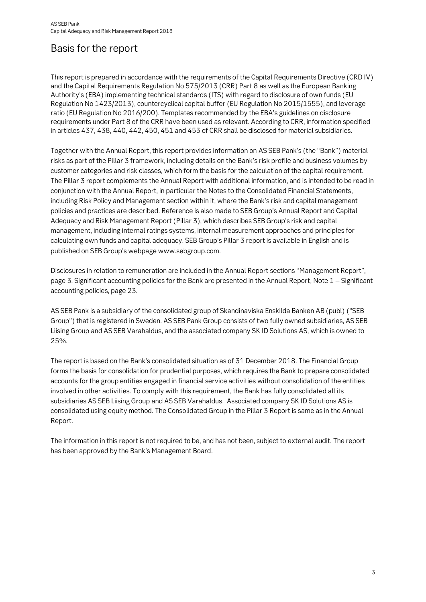### <span id="page-2-0"></span>Basis for the report

This report is prepared in accordance with the requirements of the Capital Requirements Directive (CRD IV) and the Capital Requirements Regulation No 575/2013 (CRR) Part 8 as well as the European Banking Authority's (EBA) implementing technical standards (ITS) with regard to disclosure of own funds (EU Regulation No 1423/2013), countercyclical capital buffer (EU Regulation No 2015/1555), and leverage ratio (EU Regulation No 2016/200). Templates recommended by the EBA's guidelines on disclosure requirements under Part 8 of the CRR have been used as relevant. According to CRR, information specified in articles 437, 438, 440, 442, 450, 451 and 453 of CRR shall be disclosed for material subsidiaries.

Together with the Annual Report, this report provides information on AS SEB Pank's (the "Bank") material risks as part of the Pillar 3 framework, including details on the Bank's risk profile and business volumes by customer categories and risk classes, which form the basis for the calculation of the capital requirement. The Pillar 3 report complements the Annual Report with additional information, and is intended to be read in conjunction with the Annual Report, in particular the Notes to the Consolidated Financial Statements, including Risk Policy and Management section within it, where the Bank's risk and capital management policies and practices are described. Reference is also made to SEB Group's Annual Report and Capital Adequacy and Risk Management Report (Pillar 3), which describes SEB Group's risk and capital management, including internal ratings systems, internal measurement approaches and principles for calculating own funds and capital adequacy. SEB Group's Pillar 3 report is available in English and is published on SEB Group's webpage www.sebgroup.com.

Disclosures in relation to remuneration are included in the Annual Report sections "Management Report", page 3. Significant accounting policies for the Bank are presented in the Annual Report, Note 1 – Significant accounting policies, page 23.

AS SEB Pank is a subsidiary of the consolidated group of Skandinaviska Enskilda Banken AB (publ) ("SEB Group") that is registered in Sweden. AS SEB Pank Group consists of two fully owned subsidiaries, AS SEB Liising Group and AS SEB Varahaldus, and the associated company SK ID Solutions AS, which is owned to 25%.

The report is based on the Bank's consolidated situation as of 31 December 2018. The Financial Group forms the basis for consolidation for prudential purposes, which requires the Bank to prepare consolidated accounts for the group entities engaged in financial service activities without consolidation of the entities involved in other activities. To comply with this requirement, the Bank has fully consolidated all its subsidiaries AS SEB Liising Group and AS SEB Varahaldus. Associated company SK ID Solutions AS is consolidated using equity method. The Consolidated Group in the Pillar 3 Report is same as in the Annual Report.

The information in this report is not required to be, and has not been, subject to external audit. The report has been approved by the Bank's Management Board.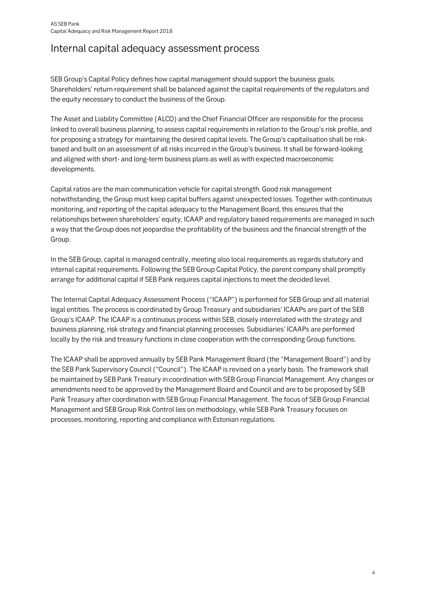### <span id="page-3-0"></span>Internal capital adequacy assessment process

SEB Group's Capital Policy defines how capital management should support the business goals. Shareholders' return requirement shall be balanced against the capital requirements of the regulators and the equity necessary to conduct the business of the Group.

The Asset and Liability Committee (ALCO) and the Chief Financial Officer are responsible for the process linked to overall business planning, to assess capital requirements in relation to the Group's risk profile, and for proposing a strategy for maintaining the desired capital levels. The Group's capitalisation shall be riskbased and built on an assessment of all risks incurred in the Group's business. It shall be forward-looking and aligned with short- and long-term business plans as well as with expected macroeconomic developments.

Capital ratios are the main communication vehicle for capital strength. Good risk management notwithstanding, the Group must keep capital buffers against unexpected losses. Together with continuous monitoring, and reporting of the capital adequacy to the Management Board, this ensures that the relationships between shareholders' equity, ICAAP and regulatory based requirements are managed in such a way that the Group does not jeopardise the profitability of the business and the financial strength of the Group.

In the SEB Group, capital is managed centrally, meeting also local requirements as regards statutory and internal capital requirements. Following the SEB Group Capital Policy, the parent company shall promptly arrange for additional capital if SEB Pank requires capital injections to meet the decided level.

The Internal Capital Adequacy Assessment Process ("ICAAP") is performed for SEB Group and all material legal entities. The process is coordinated by Group Treasury and subsidiaries' ICAAPs are part of the SEB Group's ICAAP. The ICAAP is a continuous process within SEB, closely interrelated with the strategy and business planning, risk strategy and financial planning processes. Subsidiaries' ICAAPs are performed locally by the risk and treasury functions in close cooperation with the corresponding Group functions.

The ICAAP shall be approved annually by SEB Pank Management Board (the "Management Board") and by the SEB Pank Supervisory Council ("Council"). The ICAAP is revised on a yearly basis. The framework shall be maintained by SEB Pank Treasury in coordination with SEB Group Financial Management. Any changes or amendments need to be approved by the Management Board and Council and are to be proposed by SEB Pank Treasury after coordination with SEB Group Financial Management. The focus of SEB Group Financial Management and SEB Group Risk Control lies on methodology, while SEB Pank Treasury focuses on processes, monitoring, reporting and compliance with Estonian regulations.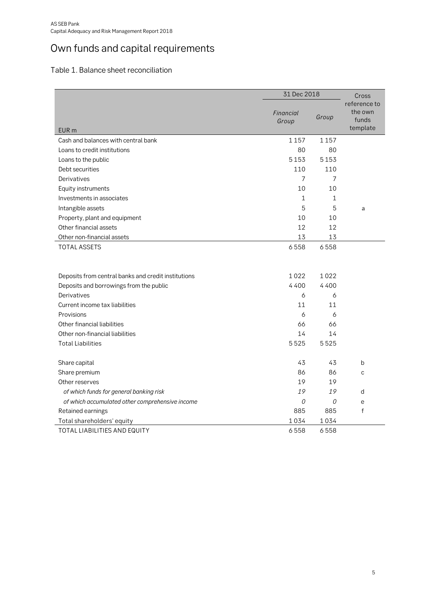# <span id="page-4-0"></span>Own funds and capital requirements

### <span id="page-4-1"></span>Table 1. Balance sheet reconciliation

|                                                     | 31 Dec 2018        |       | Cross                                        |
|-----------------------------------------------------|--------------------|-------|----------------------------------------------|
| EUR <sub>m</sub>                                    | Financial<br>Group | Group | reference to<br>the own<br>funds<br>template |
| Cash and balances with central bank                 | 1157               | 1157  |                                              |
| Loans to credit institutions                        | 80                 | 80    |                                              |
| Loans to the public                                 | 5153               | 5153  |                                              |
| Debt securities                                     | 110                | 110   |                                              |
| Derivatives                                         | 7                  | 7     |                                              |
| Equity instruments                                  | 10                 | 10    |                                              |
| Investments in associates                           | 1                  | 1     |                                              |
| Intangible assets                                   | 5                  | 5     | a                                            |
| Property, plant and equipment                       | 10                 | 10    |                                              |
| Other financial assets                              | 12                 | 12    |                                              |
| Other non-financial assets                          | 13                 | 13    |                                              |
| <b>TOTAL ASSETS</b>                                 | 6558               | 6558  |                                              |
|                                                     |                    |       |                                              |
| Deposits from central banks and credit institutions | 1022               | 1022  |                                              |
| Deposits and borrowings from the public             | 4400               | 4400  |                                              |
| Derivatives                                         | 6                  | 6     |                                              |
| Current income tax liabilities                      | 11                 | 11    |                                              |
| Provisions                                          | 6                  | 6     |                                              |
| Other financial liabilities                         | 66                 | 66    |                                              |
| Other non-financial liabilities                     | 14                 | 14    |                                              |
| <b>Total Liabilities</b>                            | 5525               | 5525  |                                              |
| Share capital                                       | 43                 | 43    | b                                            |
| Share premium                                       | 86                 | 86    | C                                            |
| Other reserves                                      | 19                 | 19    |                                              |
| of which funds for general banking risk             | 19                 | 19    | d                                            |
| of which accumulated other comprehensive income     | 0                  | 0     | e                                            |
| Retained earnings                                   | 885                | 885   | $\mathsf{f}$                                 |
| Total shareholders' equity                          | 1034               | 1034  |                                              |
| TOTAL LIABILITIES AND EQUITY                        | 6558               | 6558  |                                              |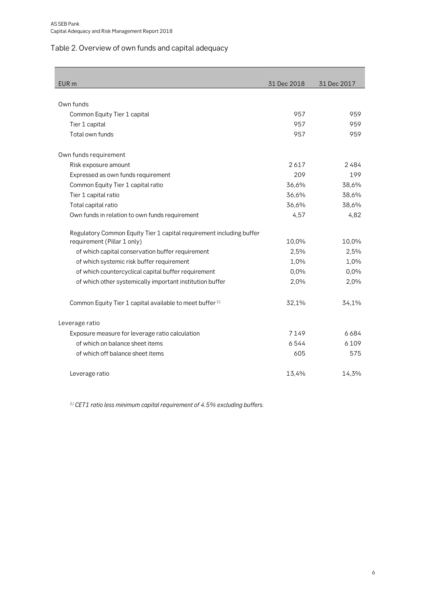### <span id="page-5-0"></span>Table 2. Overview of own funds and capital adequacy

| EUR <sub>m</sub>                                                     | 31 Dec 2018 | 31 Dec 2017 |
|----------------------------------------------------------------------|-------------|-------------|
|                                                                      |             |             |
| Own funds                                                            |             |             |
| Common Equity Tier 1 capital                                         | 957         | 959         |
| Tier 1 capital                                                       | 957         | 959         |
| Total own funds                                                      | 957         | 959         |
| Own funds requirement                                                |             |             |
| Risk exposure amount                                                 | 2617        | 2484        |
| Expressed as own funds requirement                                   | 209         | 199         |
| Common Equity Tier 1 capital ratio                                   | 36,6%       | 38,6%       |
| Tier 1 capital ratio                                                 | 36,6%       | 38,6%       |
| Total capital ratio                                                  | 36,6%       | 38,6%       |
| Own funds in relation to own funds requirement                       | 4,57        | 4,82        |
| Regulatory Common Equity Tier 1 capital requirement including buffer |             |             |
| requirement (Pillar 1 only)                                          | 10,0%       | 10,0%       |
| of which capital conservation buffer requirement                     | 2,5%        | 2,5%        |
| of which systemic risk buffer requirement                            | 1,0%        | 1,0%        |
| of which countercyclical capital buffer requirement                  | 0,0%        | 0,0%        |
| of which other systemically important institution buffer             | 2,0%        | 2,0%        |
| Common Equity Tier 1 capital available to meet buffer <sup>1)</sup>  | 32,1%       | 34,1%       |
| Leverage ratio                                                       |             |             |
| Exposure measure for leverage ratio calculation                      | 7149        | 6684        |
| of which on balance sheet items                                      | 6544        | 6109        |
| of which off balance sheet items                                     | 605         | 575         |
| Leverage ratio                                                       | 13,4%       | 14,3%       |

**1) CET1 ratio less minimum capital requirement of 4.5% excluding buffers.**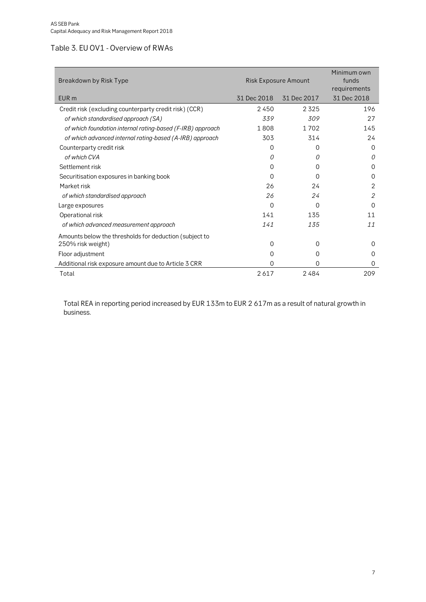### <span id="page-6-0"></span>Table 3. EU OV1 - Overview of RWAs

| Breakdown by Risk Type                                     | <b>Risk Exposure Amount</b> | Minimum own<br>funds<br>requirements |             |
|------------------------------------------------------------|-----------------------------|--------------------------------------|-------------|
| EUR <sub>m</sub>                                           | 31 Dec 2018                 | 31 Dec 2017                          | 31 Dec 2018 |
| Credit risk (excluding counterparty credit risk) (CCR)     | 2450                        | 2325                                 | 196         |
| of which standardised approach (SA)                        | 339                         | 309                                  | 27          |
| of which foundation internal rating-based (F-IRB) approach | 1808                        | 1 7 0 2                              | 145         |
| of which advanced internal rating-based (A-IRB) approach   | 303                         | 314                                  | 24          |
| Counterparty credit risk                                   | 0                           | 0                                    | $\Omega$    |
| of which CVA                                               | 0                           | 0                                    | 0           |
| Settlement risk                                            | 0                           | 0                                    | $\Omega$    |
| Securitisation exposures in banking book                   | 0                           | $\Omega$                             | 0           |
| Market risk                                                | 26                          | 24                                   | 2           |
| of which standardised approach                             | 26                          | 24                                   | 2           |
| Large exposures                                            | 0                           | $\Omega$                             | ∩           |
| Operational risk                                           | 141                         | 135                                  | 11          |
| of which advanced measurement approach                     | 141                         | 135                                  | 11          |
| Amounts below the thresholds for deduction (subject to     |                             |                                      |             |
| 250% risk weight)                                          | 0                           | 0                                    | $\Omega$    |
| Floor adjustment                                           | 0                           | 0                                    | 0           |
| Additional risk exposure amount due to Article 3 CRR       | 0                           | 0                                    | 0           |
| Total                                                      | 2617                        | 2484                                 | 209         |

Total REA in reporting period increased by EUR 133m to EUR 2 617m as a result of natural growth in business.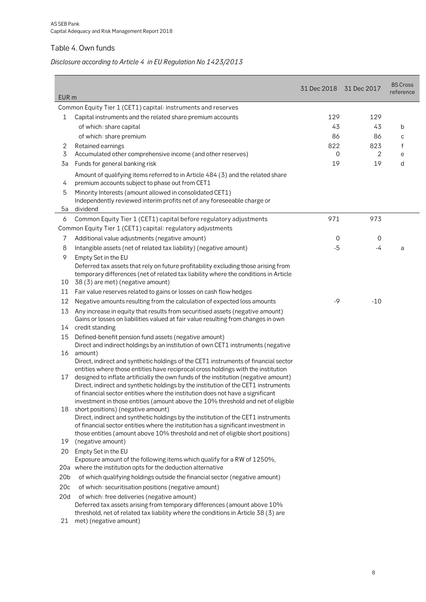### <span id="page-7-0"></span>Table 4. Own funds

### **Disclosure according to Article 4 in EU Regulation No 1423/2013**

| EUR <sub>m</sub> |                                                                                                                                                                                                                | 31 Dec 2018 31 Dec 2017 |                | <b>BS Cross</b><br>reference |
|------------------|----------------------------------------------------------------------------------------------------------------------------------------------------------------------------------------------------------------|-------------------------|----------------|------------------------------|
|                  | Common Equity Tier 1 (CET1) capital: instruments and reserves                                                                                                                                                  |                         |                |                              |
| 1                | Capital instruments and the related share premium accounts                                                                                                                                                     | 129                     | 129            |                              |
|                  | of which: share capital                                                                                                                                                                                        | 43                      | 43             | b                            |
|                  | of which: share premium                                                                                                                                                                                        | 86                      | 86             | C                            |
| 2                | Retained earnings                                                                                                                                                                                              | 822                     | 823            | f                            |
| 3                | Accumulated other comprehensive income (and other reserves)                                                                                                                                                    | 0                       | $\overline{2}$ | e                            |
| 3a               | Funds for general banking risk                                                                                                                                                                                 | 19                      | 19             | d                            |
| 4                | Amount of qualifying items referred to in Article 484 (3) and the related share<br>premium accounts subject to phase out from CET1                                                                             |                         |                |                              |
| 5                | Minority Interests (amount allowed in consolidated CET1)                                                                                                                                                       |                         |                |                              |
|                  | Independently reviewed interim profits net of any foreseeable charge or                                                                                                                                        |                         |                |                              |
| 5a               | dividend                                                                                                                                                                                                       |                         |                |                              |
| 6                | Common Equity Tier 1 (CET1) capital before regulatory adjustments                                                                                                                                              | 971                     | 973            |                              |
|                  | Common Equity Tier 1 (CET1) capital: regulatory adjustments                                                                                                                                                    |                         |                |                              |
| 7                | Additional value adjustments (negative amount)                                                                                                                                                                 | 0                       | 0              |                              |
| 8                | Intangible assets (net of related tax liability) (negative amount)                                                                                                                                             | $-5$                    | -4             | a                            |
| 9                | Empty Set in the EU                                                                                                                                                                                            |                         |                |                              |
| 10               | Deferred tax assets that rely on future profitability excluding those arising from<br>temporary differences (net of related tax liability where the conditions in Article<br>38 (3) are met) (negative amount) |                         |                |                              |
| 11               | Fair value reserves related to gains or losses on cash flow hedges                                                                                                                                             |                         |                |                              |
| 12               | Negative amounts resulting from the calculation of expected loss amounts                                                                                                                                       | -9                      | $-10$          |                              |
| 13               | Any increase in equity that results from securitised assets (negative amount)<br>Gains or losses on liabilities valued at fair value resulting from changes in own                                             |                         |                |                              |
| 14               | credit standing                                                                                                                                                                                                |                         |                |                              |
| 15               | Defined-benefit pension fund assets (negative amount)<br>Direct and indirect holdings by an institution of own CET1 instruments (negative                                                                      |                         |                |                              |
| 16               | amount)                                                                                                                                                                                                        |                         |                |                              |
|                  | Direct, indirect and synthetic holdings of the CET1 instruments of financial sector<br>entities where those entities have reciprocal cross holdings with the institution                                       |                         |                |                              |
| 17               | designed to inflate artificially the own funds of the institution (negative amount)                                                                                                                            |                         |                |                              |
|                  | Direct, indirect and synthetic holdings by the institution of the CET1 instruments<br>of financial sector entities where the institution does not have a significant                                           |                         |                |                              |
|                  | investment in those entities (amount above the 10% threshold and net of eligible                                                                                                                               |                         |                |                              |
| 18               | short positions) (negative amount)<br>Direct, indirect and synthetic holdings by the institution of the CET1 instruments                                                                                       |                         |                |                              |
|                  | of financial sector entities where the institution has a significant investment in                                                                                                                             |                         |                |                              |
|                  | those entities (amount above 10% threshold and net of eligible short positions)                                                                                                                                |                         |                |                              |
| 19               | (negative amount)                                                                                                                                                                                              |                         |                |                              |
| 20               | Empty Set in the EU                                                                                                                                                                                            |                         |                |                              |
|                  | Exposure amount of the following items which qualify for a RW of 1250%,<br>20a where the institution opts for the deduction alternative                                                                        |                         |                |                              |
| 20 <sub>b</sub>  | of which qualifying holdings outside the financial sector (negative amount)                                                                                                                                    |                         |                |                              |
| 20c              | of which: securitisation positions (negative amount)                                                                                                                                                           |                         |                |                              |
| 20d              | of which: free deliveries (negative amount)                                                                                                                                                                    |                         |                |                              |
|                  | Deferred tax assets arising from temporary differences (amount above 10%<br>threshold, net of related tax liability where the conditions in Article 38 (3) are                                                 |                         |                |                              |
| 21               | met) (negative amount)                                                                                                                                                                                         |                         |                |                              |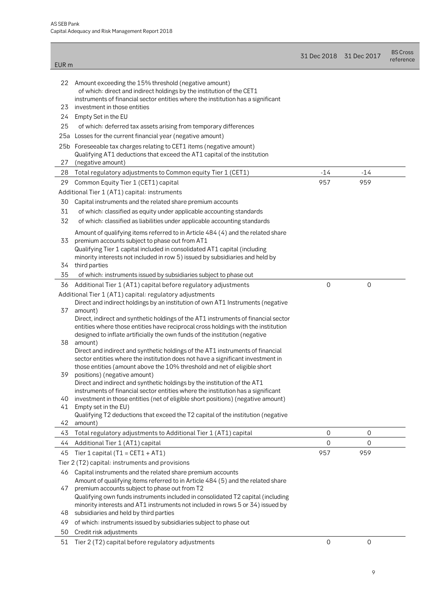| 22<br>Amount exceeding the 15% threshold (negative amount)<br>of which: direct and indirect holdings by the institution of the CET1<br>instruments of financial sector entities where the institution has a significant<br>investment in those entities<br>23<br>24<br>Empty Set in the EU<br>25<br>of which: deferred tax assets arising from temporary differences<br>Losses for the current financial year (negative amount)<br>25a<br>25b Foreseeable tax charges relating to CET1 items (negative amount)<br>Qualifying AT1 deductions that exceed the AT1 capital of the institution<br>27<br>(negative amount)<br>28<br>Total regulatory adjustments to Common equity Tier 1 (CET1)<br>$-14$<br>-14<br>957<br>959<br>Common Equity Tier 1 (CET1) capital<br>29<br>Additional Tier 1 (AT1) capital: instruments<br>30<br>Capital instruments and the related share premium accounts<br>31<br>of which: classified as equity under applicable accounting standards<br>32<br>of which: classified as liabilities under applicable accounting standards<br>Amount of qualifying items referred to in Article 484 (4) and the related share<br>premium accounts subject to phase out from AT1<br>33<br>Qualifying Tier 1 capital included in consolidated AT1 capital (including<br>minority interests not included in row 5) issued by subsidiaries and held by<br>34<br>third parties<br>35<br>of which: instruments issued by subsidiaries subject to phase out<br>0<br>0<br>Additional Tier 1 (AT1) capital before regulatory adjustments<br>36<br>Additional Tier 1 (AT1) capital: regulatory adjustments<br>Direct and indirect holdings by an institution of own AT1 Instruments (negative<br>37<br>amount)<br>Direct, indirect and synthetic holdings of the AT1 instruments of financial sector<br>entities where those entities have reciprocal cross holdings with the institution<br>designed to inflate artificially the own funds of the institution (negative<br>38<br>amount)<br>Direct and indirect and synthetic holdings of the AT1 instruments of financial<br>sector entities where the institution does not have a significant investment in<br>those entities (amount above the 10% threshold and net of eligible short<br>positions) (negative amount)<br>39<br>Direct and indirect and synthetic holdings by the institution of the AT1<br>instruments of financial sector entities where the institution has a significant<br>investment in those entities (net of eligible short positions) (negative amount)<br>40<br>Empty set in the EU)<br>41<br>Qualifying T2 deductions that exceed the T2 capital of the institution (negative<br>42<br>amount)<br>Total regulatory adjustments to Additional Tier 1 (AT1) capital<br>0<br>0<br>43<br>0<br>0<br>Additional Tier 1 (AT1) capital<br>44<br>957<br>959<br>Tier 1 capital ( $T1 = CET1 + AT1$ )<br>45<br>Tier 2 (T2) capital: instruments and provisions<br>Capital instruments and the related share premium accounts<br>46<br>Amount of qualifying items referred to in Article 484 (5) and the related share<br>premium accounts subject to phase out from T2<br>47<br>Qualifying own funds instruments included in consolidated T2 capital (including<br>minority interests and AT1 instruments not included in rows 5 or 34) issued by<br>subsidiaries and held by third parties<br>48<br>of which: instruments issued by subsidiaries subject to phase out<br>49<br>Credit risk adjustments<br>50<br>0<br>0<br>51 | EUR <sub>m</sub> |                                                   | 31 Dec 2018 | 31 Dec 2017 | <b>BS Cross</b><br>reference |
|---------------------------------------------------------------------------------------------------------------------------------------------------------------------------------------------------------------------------------------------------------------------------------------------------------------------------------------------------------------------------------------------------------------------------------------------------------------------------------------------------------------------------------------------------------------------------------------------------------------------------------------------------------------------------------------------------------------------------------------------------------------------------------------------------------------------------------------------------------------------------------------------------------------------------------------------------------------------------------------------------------------------------------------------------------------------------------------------------------------------------------------------------------------------------------------------------------------------------------------------------------------------------------------------------------------------------------------------------------------------------------------------------------------------------------------------------------------------------------------------------------------------------------------------------------------------------------------------------------------------------------------------------------------------------------------------------------------------------------------------------------------------------------------------------------------------------------------------------------------------------------------------------------------------------------------------------------------------------------------------------------------------------------------------------------------------------------------------------------------------------------------------------------------------------------------------------------------------------------------------------------------------------------------------------------------------------------------------------------------------------------------------------------------------------------------------------------------------------------------------------------------------------------------------------------------------------------------------------------------------------------------------------------------------------------------------------------------------------------------------------------------------------------------------------------------------------------------------------------------------------------------------------------------------------------------------------------------------------------------------------------------------------------------------------------------------------------------------------------------------------------------------------------------------------------------------------------------------------------------------------------------------------------------------------------------------------------------------------------------------------------------------------------------------------------------------------------------------------------------------------------|------------------|---------------------------------------------------|-------------|-------------|------------------------------|
|                                                                                                                                                                                                                                                                                                                                                                                                                                                                                                                                                                                                                                                                                                                                                                                                                                                                                                                                                                                                                                                                                                                                                                                                                                                                                                                                                                                                                                                                                                                                                                                                                                                                                                                                                                                                                                                                                                                                                                                                                                                                                                                                                                                                                                                                                                                                                                                                                                                                                                                                                                                                                                                                                                                                                                                                                                                                                                                                                                                                                                                                                                                                                                                                                                                                                                                                                                                                                                                                                                         |                  |                                                   |             |             |                              |
|                                                                                                                                                                                                                                                                                                                                                                                                                                                                                                                                                                                                                                                                                                                                                                                                                                                                                                                                                                                                                                                                                                                                                                                                                                                                                                                                                                                                                                                                                                                                                                                                                                                                                                                                                                                                                                                                                                                                                                                                                                                                                                                                                                                                                                                                                                                                                                                                                                                                                                                                                                                                                                                                                                                                                                                                                                                                                                                                                                                                                                                                                                                                                                                                                                                                                                                                                                                                                                                                                                         |                  |                                                   |             |             |                              |
|                                                                                                                                                                                                                                                                                                                                                                                                                                                                                                                                                                                                                                                                                                                                                                                                                                                                                                                                                                                                                                                                                                                                                                                                                                                                                                                                                                                                                                                                                                                                                                                                                                                                                                                                                                                                                                                                                                                                                                                                                                                                                                                                                                                                                                                                                                                                                                                                                                                                                                                                                                                                                                                                                                                                                                                                                                                                                                                                                                                                                                                                                                                                                                                                                                                                                                                                                                                                                                                                                                         |                  |                                                   |             |             |                              |
|                                                                                                                                                                                                                                                                                                                                                                                                                                                                                                                                                                                                                                                                                                                                                                                                                                                                                                                                                                                                                                                                                                                                                                                                                                                                                                                                                                                                                                                                                                                                                                                                                                                                                                                                                                                                                                                                                                                                                                                                                                                                                                                                                                                                                                                                                                                                                                                                                                                                                                                                                                                                                                                                                                                                                                                                                                                                                                                                                                                                                                                                                                                                                                                                                                                                                                                                                                                                                                                                                                         |                  |                                                   |             |             |                              |
|                                                                                                                                                                                                                                                                                                                                                                                                                                                                                                                                                                                                                                                                                                                                                                                                                                                                                                                                                                                                                                                                                                                                                                                                                                                                                                                                                                                                                                                                                                                                                                                                                                                                                                                                                                                                                                                                                                                                                                                                                                                                                                                                                                                                                                                                                                                                                                                                                                                                                                                                                                                                                                                                                                                                                                                                                                                                                                                                                                                                                                                                                                                                                                                                                                                                                                                                                                                                                                                                                                         |                  |                                                   |             |             |                              |
|                                                                                                                                                                                                                                                                                                                                                                                                                                                                                                                                                                                                                                                                                                                                                                                                                                                                                                                                                                                                                                                                                                                                                                                                                                                                                                                                                                                                                                                                                                                                                                                                                                                                                                                                                                                                                                                                                                                                                                                                                                                                                                                                                                                                                                                                                                                                                                                                                                                                                                                                                                                                                                                                                                                                                                                                                                                                                                                                                                                                                                                                                                                                                                                                                                                                                                                                                                                                                                                                                                         |                  |                                                   |             |             |                              |
|                                                                                                                                                                                                                                                                                                                                                                                                                                                                                                                                                                                                                                                                                                                                                                                                                                                                                                                                                                                                                                                                                                                                                                                                                                                                                                                                                                                                                                                                                                                                                                                                                                                                                                                                                                                                                                                                                                                                                                                                                                                                                                                                                                                                                                                                                                                                                                                                                                                                                                                                                                                                                                                                                                                                                                                                                                                                                                                                                                                                                                                                                                                                                                                                                                                                                                                                                                                                                                                                                                         |                  |                                                   |             |             |                              |
|                                                                                                                                                                                                                                                                                                                                                                                                                                                                                                                                                                                                                                                                                                                                                                                                                                                                                                                                                                                                                                                                                                                                                                                                                                                                                                                                                                                                                                                                                                                                                                                                                                                                                                                                                                                                                                                                                                                                                                                                                                                                                                                                                                                                                                                                                                                                                                                                                                                                                                                                                                                                                                                                                                                                                                                                                                                                                                                                                                                                                                                                                                                                                                                                                                                                                                                                                                                                                                                                                                         |                  |                                                   |             |             |                              |
|                                                                                                                                                                                                                                                                                                                                                                                                                                                                                                                                                                                                                                                                                                                                                                                                                                                                                                                                                                                                                                                                                                                                                                                                                                                                                                                                                                                                                                                                                                                                                                                                                                                                                                                                                                                                                                                                                                                                                                                                                                                                                                                                                                                                                                                                                                                                                                                                                                                                                                                                                                                                                                                                                                                                                                                                                                                                                                                                                                                                                                                                                                                                                                                                                                                                                                                                                                                                                                                                                                         |                  |                                                   |             |             |                              |
|                                                                                                                                                                                                                                                                                                                                                                                                                                                                                                                                                                                                                                                                                                                                                                                                                                                                                                                                                                                                                                                                                                                                                                                                                                                                                                                                                                                                                                                                                                                                                                                                                                                                                                                                                                                                                                                                                                                                                                                                                                                                                                                                                                                                                                                                                                                                                                                                                                                                                                                                                                                                                                                                                                                                                                                                                                                                                                                                                                                                                                                                                                                                                                                                                                                                                                                                                                                                                                                                                                         |                  |                                                   |             |             |                              |
|                                                                                                                                                                                                                                                                                                                                                                                                                                                                                                                                                                                                                                                                                                                                                                                                                                                                                                                                                                                                                                                                                                                                                                                                                                                                                                                                                                                                                                                                                                                                                                                                                                                                                                                                                                                                                                                                                                                                                                                                                                                                                                                                                                                                                                                                                                                                                                                                                                                                                                                                                                                                                                                                                                                                                                                                                                                                                                                                                                                                                                                                                                                                                                                                                                                                                                                                                                                                                                                                                                         |                  |                                                   |             |             |                              |
|                                                                                                                                                                                                                                                                                                                                                                                                                                                                                                                                                                                                                                                                                                                                                                                                                                                                                                                                                                                                                                                                                                                                                                                                                                                                                                                                                                                                                                                                                                                                                                                                                                                                                                                                                                                                                                                                                                                                                                                                                                                                                                                                                                                                                                                                                                                                                                                                                                                                                                                                                                                                                                                                                                                                                                                                                                                                                                                                                                                                                                                                                                                                                                                                                                                                                                                                                                                                                                                                                                         |                  |                                                   |             |             |                              |
|                                                                                                                                                                                                                                                                                                                                                                                                                                                                                                                                                                                                                                                                                                                                                                                                                                                                                                                                                                                                                                                                                                                                                                                                                                                                                                                                                                                                                                                                                                                                                                                                                                                                                                                                                                                                                                                                                                                                                                                                                                                                                                                                                                                                                                                                                                                                                                                                                                                                                                                                                                                                                                                                                                                                                                                                                                                                                                                                                                                                                                                                                                                                                                                                                                                                                                                                                                                                                                                                                                         |                  |                                                   |             |             |                              |
|                                                                                                                                                                                                                                                                                                                                                                                                                                                                                                                                                                                                                                                                                                                                                                                                                                                                                                                                                                                                                                                                                                                                                                                                                                                                                                                                                                                                                                                                                                                                                                                                                                                                                                                                                                                                                                                                                                                                                                                                                                                                                                                                                                                                                                                                                                                                                                                                                                                                                                                                                                                                                                                                                                                                                                                                                                                                                                                                                                                                                                                                                                                                                                                                                                                                                                                                                                                                                                                                                                         |                  |                                                   |             |             |                              |
|                                                                                                                                                                                                                                                                                                                                                                                                                                                                                                                                                                                                                                                                                                                                                                                                                                                                                                                                                                                                                                                                                                                                                                                                                                                                                                                                                                                                                                                                                                                                                                                                                                                                                                                                                                                                                                                                                                                                                                                                                                                                                                                                                                                                                                                                                                                                                                                                                                                                                                                                                                                                                                                                                                                                                                                                                                                                                                                                                                                                                                                                                                                                                                                                                                                                                                                                                                                                                                                                                                         |                  |                                                   |             |             |                              |
|                                                                                                                                                                                                                                                                                                                                                                                                                                                                                                                                                                                                                                                                                                                                                                                                                                                                                                                                                                                                                                                                                                                                                                                                                                                                                                                                                                                                                                                                                                                                                                                                                                                                                                                                                                                                                                                                                                                                                                                                                                                                                                                                                                                                                                                                                                                                                                                                                                                                                                                                                                                                                                                                                                                                                                                                                                                                                                                                                                                                                                                                                                                                                                                                                                                                                                                                                                                                                                                                                                         |                  |                                                   |             |             |                              |
|                                                                                                                                                                                                                                                                                                                                                                                                                                                                                                                                                                                                                                                                                                                                                                                                                                                                                                                                                                                                                                                                                                                                                                                                                                                                                                                                                                                                                                                                                                                                                                                                                                                                                                                                                                                                                                                                                                                                                                                                                                                                                                                                                                                                                                                                                                                                                                                                                                                                                                                                                                                                                                                                                                                                                                                                                                                                                                                                                                                                                                                                                                                                                                                                                                                                                                                                                                                                                                                                                                         |                  |                                                   |             |             |                              |
|                                                                                                                                                                                                                                                                                                                                                                                                                                                                                                                                                                                                                                                                                                                                                                                                                                                                                                                                                                                                                                                                                                                                                                                                                                                                                                                                                                                                                                                                                                                                                                                                                                                                                                                                                                                                                                                                                                                                                                                                                                                                                                                                                                                                                                                                                                                                                                                                                                                                                                                                                                                                                                                                                                                                                                                                                                                                                                                                                                                                                                                                                                                                                                                                                                                                                                                                                                                                                                                                                                         |                  |                                                   |             |             |                              |
|                                                                                                                                                                                                                                                                                                                                                                                                                                                                                                                                                                                                                                                                                                                                                                                                                                                                                                                                                                                                                                                                                                                                                                                                                                                                                                                                                                                                                                                                                                                                                                                                                                                                                                                                                                                                                                                                                                                                                                                                                                                                                                                                                                                                                                                                                                                                                                                                                                                                                                                                                                                                                                                                                                                                                                                                                                                                                                                                                                                                                                                                                                                                                                                                                                                                                                                                                                                                                                                                                                         |                  |                                                   |             |             |                              |
|                                                                                                                                                                                                                                                                                                                                                                                                                                                                                                                                                                                                                                                                                                                                                                                                                                                                                                                                                                                                                                                                                                                                                                                                                                                                                                                                                                                                                                                                                                                                                                                                                                                                                                                                                                                                                                                                                                                                                                                                                                                                                                                                                                                                                                                                                                                                                                                                                                                                                                                                                                                                                                                                                                                                                                                                                                                                                                                                                                                                                                                                                                                                                                                                                                                                                                                                                                                                                                                                                                         |                  |                                                   |             |             |                              |
|                                                                                                                                                                                                                                                                                                                                                                                                                                                                                                                                                                                                                                                                                                                                                                                                                                                                                                                                                                                                                                                                                                                                                                                                                                                                                                                                                                                                                                                                                                                                                                                                                                                                                                                                                                                                                                                                                                                                                                                                                                                                                                                                                                                                                                                                                                                                                                                                                                                                                                                                                                                                                                                                                                                                                                                                                                                                                                                                                                                                                                                                                                                                                                                                                                                                                                                                                                                                                                                                                                         |                  |                                                   |             |             |                              |
|                                                                                                                                                                                                                                                                                                                                                                                                                                                                                                                                                                                                                                                                                                                                                                                                                                                                                                                                                                                                                                                                                                                                                                                                                                                                                                                                                                                                                                                                                                                                                                                                                                                                                                                                                                                                                                                                                                                                                                                                                                                                                                                                                                                                                                                                                                                                                                                                                                                                                                                                                                                                                                                                                                                                                                                                                                                                                                                                                                                                                                                                                                                                                                                                                                                                                                                                                                                                                                                                                                         |                  |                                                   |             |             |                              |
|                                                                                                                                                                                                                                                                                                                                                                                                                                                                                                                                                                                                                                                                                                                                                                                                                                                                                                                                                                                                                                                                                                                                                                                                                                                                                                                                                                                                                                                                                                                                                                                                                                                                                                                                                                                                                                                                                                                                                                                                                                                                                                                                                                                                                                                                                                                                                                                                                                                                                                                                                                                                                                                                                                                                                                                                                                                                                                                                                                                                                                                                                                                                                                                                                                                                                                                                                                                                                                                                                                         |                  |                                                   |             |             |                              |
|                                                                                                                                                                                                                                                                                                                                                                                                                                                                                                                                                                                                                                                                                                                                                                                                                                                                                                                                                                                                                                                                                                                                                                                                                                                                                                                                                                                                                                                                                                                                                                                                                                                                                                                                                                                                                                                                                                                                                                                                                                                                                                                                                                                                                                                                                                                                                                                                                                                                                                                                                                                                                                                                                                                                                                                                                                                                                                                                                                                                                                                                                                                                                                                                                                                                                                                                                                                                                                                                                                         |                  |                                                   |             |             |                              |
|                                                                                                                                                                                                                                                                                                                                                                                                                                                                                                                                                                                                                                                                                                                                                                                                                                                                                                                                                                                                                                                                                                                                                                                                                                                                                                                                                                                                                                                                                                                                                                                                                                                                                                                                                                                                                                                                                                                                                                                                                                                                                                                                                                                                                                                                                                                                                                                                                                                                                                                                                                                                                                                                                                                                                                                                                                                                                                                                                                                                                                                                                                                                                                                                                                                                                                                                                                                                                                                                                                         |                  |                                                   |             |             |                              |
|                                                                                                                                                                                                                                                                                                                                                                                                                                                                                                                                                                                                                                                                                                                                                                                                                                                                                                                                                                                                                                                                                                                                                                                                                                                                                                                                                                                                                                                                                                                                                                                                                                                                                                                                                                                                                                                                                                                                                                                                                                                                                                                                                                                                                                                                                                                                                                                                                                                                                                                                                                                                                                                                                                                                                                                                                                                                                                                                                                                                                                                                                                                                                                                                                                                                                                                                                                                                                                                                                                         |                  |                                                   |             |             |                              |
|                                                                                                                                                                                                                                                                                                                                                                                                                                                                                                                                                                                                                                                                                                                                                                                                                                                                                                                                                                                                                                                                                                                                                                                                                                                                                                                                                                                                                                                                                                                                                                                                                                                                                                                                                                                                                                                                                                                                                                                                                                                                                                                                                                                                                                                                                                                                                                                                                                                                                                                                                                                                                                                                                                                                                                                                                                                                                                                                                                                                                                                                                                                                                                                                                                                                                                                                                                                                                                                                                                         |                  |                                                   |             |             |                              |
|                                                                                                                                                                                                                                                                                                                                                                                                                                                                                                                                                                                                                                                                                                                                                                                                                                                                                                                                                                                                                                                                                                                                                                                                                                                                                                                                                                                                                                                                                                                                                                                                                                                                                                                                                                                                                                                                                                                                                                                                                                                                                                                                                                                                                                                                                                                                                                                                                                                                                                                                                                                                                                                                                                                                                                                                                                                                                                                                                                                                                                                                                                                                                                                                                                                                                                                                                                                                                                                                                                         |                  |                                                   |             |             |                              |
|                                                                                                                                                                                                                                                                                                                                                                                                                                                                                                                                                                                                                                                                                                                                                                                                                                                                                                                                                                                                                                                                                                                                                                                                                                                                                                                                                                                                                                                                                                                                                                                                                                                                                                                                                                                                                                                                                                                                                                                                                                                                                                                                                                                                                                                                                                                                                                                                                                                                                                                                                                                                                                                                                                                                                                                                                                                                                                                                                                                                                                                                                                                                                                                                                                                                                                                                                                                                                                                                                                         |                  |                                                   |             |             |                              |
|                                                                                                                                                                                                                                                                                                                                                                                                                                                                                                                                                                                                                                                                                                                                                                                                                                                                                                                                                                                                                                                                                                                                                                                                                                                                                                                                                                                                                                                                                                                                                                                                                                                                                                                                                                                                                                                                                                                                                                                                                                                                                                                                                                                                                                                                                                                                                                                                                                                                                                                                                                                                                                                                                                                                                                                                                                                                                                                                                                                                                                                                                                                                                                                                                                                                                                                                                                                                                                                                                                         |                  |                                                   |             |             |                              |
|                                                                                                                                                                                                                                                                                                                                                                                                                                                                                                                                                                                                                                                                                                                                                                                                                                                                                                                                                                                                                                                                                                                                                                                                                                                                                                                                                                                                                                                                                                                                                                                                                                                                                                                                                                                                                                                                                                                                                                                                                                                                                                                                                                                                                                                                                                                                                                                                                                                                                                                                                                                                                                                                                                                                                                                                                                                                                                                                                                                                                                                                                                                                                                                                                                                                                                                                                                                                                                                                                                         |                  |                                                   |             |             |                              |
|                                                                                                                                                                                                                                                                                                                                                                                                                                                                                                                                                                                                                                                                                                                                                                                                                                                                                                                                                                                                                                                                                                                                                                                                                                                                                                                                                                                                                                                                                                                                                                                                                                                                                                                                                                                                                                                                                                                                                                                                                                                                                                                                                                                                                                                                                                                                                                                                                                                                                                                                                                                                                                                                                                                                                                                                                                                                                                                                                                                                                                                                                                                                                                                                                                                                                                                                                                                                                                                                                                         |                  |                                                   |             |             |                              |
|                                                                                                                                                                                                                                                                                                                                                                                                                                                                                                                                                                                                                                                                                                                                                                                                                                                                                                                                                                                                                                                                                                                                                                                                                                                                                                                                                                                                                                                                                                                                                                                                                                                                                                                                                                                                                                                                                                                                                                                                                                                                                                                                                                                                                                                                                                                                                                                                                                                                                                                                                                                                                                                                                                                                                                                                                                                                                                                                                                                                                                                                                                                                                                                                                                                                                                                                                                                                                                                                                                         |                  |                                                   |             |             |                              |
|                                                                                                                                                                                                                                                                                                                                                                                                                                                                                                                                                                                                                                                                                                                                                                                                                                                                                                                                                                                                                                                                                                                                                                                                                                                                                                                                                                                                                                                                                                                                                                                                                                                                                                                                                                                                                                                                                                                                                                                                                                                                                                                                                                                                                                                                                                                                                                                                                                                                                                                                                                                                                                                                                                                                                                                                                                                                                                                                                                                                                                                                                                                                                                                                                                                                                                                                                                                                                                                                                                         |                  |                                                   |             |             |                              |
|                                                                                                                                                                                                                                                                                                                                                                                                                                                                                                                                                                                                                                                                                                                                                                                                                                                                                                                                                                                                                                                                                                                                                                                                                                                                                                                                                                                                                                                                                                                                                                                                                                                                                                                                                                                                                                                                                                                                                                                                                                                                                                                                                                                                                                                                                                                                                                                                                                                                                                                                                                                                                                                                                                                                                                                                                                                                                                                                                                                                                                                                                                                                                                                                                                                                                                                                                                                                                                                                                                         |                  |                                                   |             |             |                              |
|                                                                                                                                                                                                                                                                                                                                                                                                                                                                                                                                                                                                                                                                                                                                                                                                                                                                                                                                                                                                                                                                                                                                                                                                                                                                                                                                                                                                                                                                                                                                                                                                                                                                                                                                                                                                                                                                                                                                                                                                                                                                                                                                                                                                                                                                                                                                                                                                                                                                                                                                                                                                                                                                                                                                                                                                                                                                                                                                                                                                                                                                                                                                                                                                                                                                                                                                                                                                                                                                                                         |                  |                                                   |             |             |                              |
|                                                                                                                                                                                                                                                                                                                                                                                                                                                                                                                                                                                                                                                                                                                                                                                                                                                                                                                                                                                                                                                                                                                                                                                                                                                                                                                                                                                                                                                                                                                                                                                                                                                                                                                                                                                                                                                                                                                                                                                                                                                                                                                                                                                                                                                                                                                                                                                                                                                                                                                                                                                                                                                                                                                                                                                                                                                                                                                                                                                                                                                                                                                                                                                                                                                                                                                                                                                                                                                                                                         |                  |                                                   |             |             |                              |
|                                                                                                                                                                                                                                                                                                                                                                                                                                                                                                                                                                                                                                                                                                                                                                                                                                                                                                                                                                                                                                                                                                                                                                                                                                                                                                                                                                                                                                                                                                                                                                                                                                                                                                                                                                                                                                                                                                                                                                                                                                                                                                                                                                                                                                                                                                                                                                                                                                                                                                                                                                                                                                                                                                                                                                                                                                                                                                                                                                                                                                                                                                                                                                                                                                                                                                                                                                                                                                                                                                         |                  |                                                   |             |             |                              |
|                                                                                                                                                                                                                                                                                                                                                                                                                                                                                                                                                                                                                                                                                                                                                                                                                                                                                                                                                                                                                                                                                                                                                                                                                                                                                                                                                                                                                                                                                                                                                                                                                                                                                                                                                                                                                                                                                                                                                                                                                                                                                                                                                                                                                                                                                                                                                                                                                                                                                                                                                                                                                                                                                                                                                                                                                                                                                                                                                                                                                                                                                                                                                                                                                                                                                                                                                                                                                                                                                                         |                  |                                                   |             |             |                              |
|                                                                                                                                                                                                                                                                                                                                                                                                                                                                                                                                                                                                                                                                                                                                                                                                                                                                                                                                                                                                                                                                                                                                                                                                                                                                                                                                                                                                                                                                                                                                                                                                                                                                                                                                                                                                                                                                                                                                                                                                                                                                                                                                                                                                                                                                                                                                                                                                                                                                                                                                                                                                                                                                                                                                                                                                                                                                                                                                                                                                                                                                                                                                                                                                                                                                                                                                                                                                                                                                                                         |                  |                                                   |             |             |                              |
|                                                                                                                                                                                                                                                                                                                                                                                                                                                                                                                                                                                                                                                                                                                                                                                                                                                                                                                                                                                                                                                                                                                                                                                                                                                                                                                                                                                                                                                                                                                                                                                                                                                                                                                                                                                                                                                                                                                                                                                                                                                                                                                                                                                                                                                                                                                                                                                                                                                                                                                                                                                                                                                                                                                                                                                                                                                                                                                                                                                                                                                                                                                                                                                                                                                                                                                                                                                                                                                                                                         |                  |                                                   |             |             |                              |
|                                                                                                                                                                                                                                                                                                                                                                                                                                                                                                                                                                                                                                                                                                                                                                                                                                                                                                                                                                                                                                                                                                                                                                                                                                                                                                                                                                                                                                                                                                                                                                                                                                                                                                                                                                                                                                                                                                                                                                                                                                                                                                                                                                                                                                                                                                                                                                                                                                                                                                                                                                                                                                                                                                                                                                                                                                                                                                                                                                                                                                                                                                                                                                                                                                                                                                                                                                                                                                                                                                         |                  |                                                   |             |             |                              |
|                                                                                                                                                                                                                                                                                                                                                                                                                                                                                                                                                                                                                                                                                                                                                                                                                                                                                                                                                                                                                                                                                                                                                                                                                                                                                                                                                                                                                                                                                                                                                                                                                                                                                                                                                                                                                                                                                                                                                                                                                                                                                                                                                                                                                                                                                                                                                                                                                                                                                                                                                                                                                                                                                                                                                                                                                                                                                                                                                                                                                                                                                                                                                                                                                                                                                                                                                                                                                                                                                                         |                  |                                                   |             |             |                              |
|                                                                                                                                                                                                                                                                                                                                                                                                                                                                                                                                                                                                                                                                                                                                                                                                                                                                                                                                                                                                                                                                                                                                                                                                                                                                                                                                                                                                                                                                                                                                                                                                                                                                                                                                                                                                                                                                                                                                                                                                                                                                                                                                                                                                                                                                                                                                                                                                                                                                                                                                                                                                                                                                                                                                                                                                                                                                                                                                                                                                                                                                                                                                                                                                                                                                                                                                                                                                                                                                                                         |                  |                                                   |             |             |                              |
|                                                                                                                                                                                                                                                                                                                                                                                                                                                                                                                                                                                                                                                                                                                                                                                                                                                                                                                                                                                                                                                                                                                                                                                                                                                                                                                                                                                                                                                                                                                                                                                                                                                                                                                                                                                                                                                                                                                                                                                                                                                                                                                                                                                                                                                                                                                                                                                                                                                                                                                                                                                                                                                                                                                                                                                                                                                                                                                                                                                                                                                                                                                                                                                                                                                                                                                                                                                                                                                                                                         |                  |                                                   |             |             |                              |
|                                                                                                                                                                                                                                                                                                                                                                                                                                                                                                                                                                                                                                                                                                                                                                                                                                                                                                                                                                                                                                                                                                                                                                                                                                                                                                                                                                                                                                                                                                                                                                                                                                                                                                                                                                                                                                                                                                                                                                                                                                                                                                                                                                                                                                                                                                                                                                                                                                                                                                                                                                                                                                                                                                                                                                                                                                                                                                                                                                                                                                                                                                                                                                                                                                                                                                                                                                                                                                                                                                         |                  | Tier 2 (T2) capital before regulatory adjustments |             |             |                              |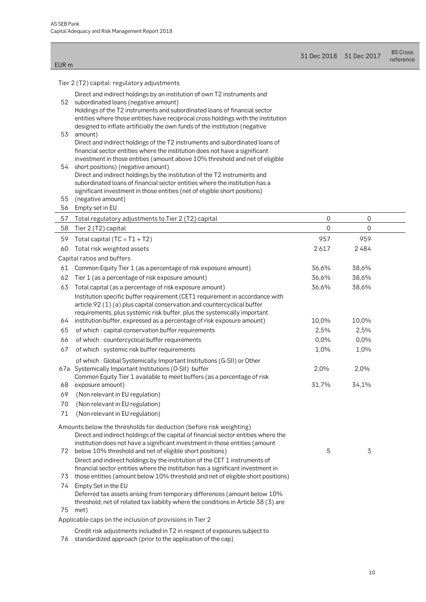EUR m

| 31 Dec 2018 31 Dec 2017 | <b>BS Cross</b> |
|-------------------------|-----------------|
|                         | reference       |

Tier 2 (T2) capital: regulatory adjustments

| 52       | Direct and indirect holdings by an institution of own T2 instruments and<br>subordinated loans (negative amount)<br>Holdings of the T2 instruments and subordinated loans of financial sector                                                                                                                                                                  |               |                |  |
|----------|----------------------------------------------------------------------------------------------------------------------------------------------------------------------------------------------------------------------------------------------------------------------------------------------------------------------------------------------------------------|---------------|----------------|--|
| 53       | entities where those entities have reciprocal cross holdings with the institution<br>designed to inflate artificially the own funds of the institution (negative<br>amount)                                                                                                                                                                                    |               |                |  |
| 54       | Direct and indirect holdings of the T2 instruments and subordinated loans of<br>financial sector entities where the institution does not have a significant<br>investment in those entities (amount above 10% threshold and net of eligible<br>short positions) (negative amount)<br>Direct and indirect holdings by the institution of the T2 instruments and |               |                |  |
| 55       | subordinated loans of financial sector entities where the institution has a<br>significant investment in those entities (net of eligible short positions)<br>(negative amount)                                                                                                                                                                                 |               |                |  |
| 56       | Empty set in EU                                                                                                                                                                                                                                                                                                                                                |               |                |  |
| 57       | Total regulatory adjustments to Tier 2 (T2) capital                                                                                                                                                                                                                                                                                                            | $\mathbf 0$   | $\overline{0}$ |  |
| 58       | Tier 2 (T2) capital                                                                                                                                                                                                                                                                                                                                            | $\mathbf 0$   | $\mathbf 0$    |  |
| 59       | Total capital $(TC = T1 + T2)$                                                                                                                                                                                                                                                                                                                                 | 957           | 959            |  |
| 60       | Total risk weighted assets                                                                                                                                                                                                                                                                                                                                     | 2617          | 2484           |  |
|          | Capital ratios and buffers                                                                                                                                                                                                                                                                                                                                     |               |                |  |
| 61       | Common Equity Tier 1 (as a percentage of risk exposure amount)                                                                                                                                                                                                                                                                                                 | 36,6%         | 38,6%          |  |
| 62       | Tier 1 (as a percentage of risk exposure amount)                                                                                                                                                                                                                                                                                                               | 36,6%         | 38,6%          |  |
| 63       | Total capital (as a percentage of risk exposure amount)<br>Institution specific buffer requirement (CET1 requirement in accordance with<br>article 92 (1) (a) plus capital conservation and countercyclical buffer<br>requirements, plus systemic risk buffer, plus the systemically important                                                                 | 36,6%         | 38,6%          |  |
| 64       | institution buffer, expressed as a percentage of risk exposure amount)                                                                                                                                                                                                                                                                                         | 10,0%         | 10,0%          |  |
| 65       | of which: capital conservation buffer requirements                                                                                                                                                                                                                                                                                                             | 2,5%          | 2,5%           |  |
| 66       | of which: countercyclical buffer requirements                                                                                                                                                                                                                                                                                                                  | 0,0%          | 0,0%           |  |
| 67       | of which: systemic risk buffer requirements                                                                                                                                                                                                                                                                                                                    | 1,0%          | 1,0%           |  |
| 68       | of which: Global Systemically Important Institutions (G-SII) or Other<br>67a Systemically Important Institutions (O-SII) buffer<br>Common Equity Tier 1 available to meet buffers (as a percentage of risk<br>exposure amount)                                                                                                                                 | 2,0%<br>31,7% | 2,0%<br>34,1%  |  |
| 69       | (Non relevant in EU regulation)                                                                                                                                                                                                                                                                                                                                |               |                |  |
| 70       | (Non relevant in EU regulation)                                                                                                                                                                                                                                                                                                                                |               |                |  |
| 71       | (Non relevant in EU regulation)                                                                                                                                                                                                                                                                                                                                |               |                |  |
|          | Amounts below the thresholds for deduction (before risk weighting)<br>Direct and indirect holdings of the capital of financial sector entities where the<br>institution does not have a significant investment in those entities (amount                                                                                                                       |               |                |  |
| 72<br>73 | below 10% threshold and net of eligible short positions)<br>Direct and indirect holdings by the institution of the CET 1 instruments of<br>financial sector entities where the institution has a significant investment in<br>those entities (amount below 10% threshold and net of eligible short positions)                                                  | 5             | 3              |  |
| 74<br>75 | Empty Set in the EU<br>Deferred tax assets arising from temporary differences (amount below 10%<br>threshold, net of related tax liability where the conditions in Article 38 (3) are<br>met)                                                                                                                                                                  |               |                |  |
|          | Applicable caps on the inclusion of provisions in Tier 2                                                                                                                                                                                                                                                                                                       |               |                |  |
|          |                                                                                                                                                                                                                                                                                                                                                                |               |                |  |

- Credit risk adjustments included in T2 in respect of exposures subject to
- 76 standardized approach (prior to the application of the cap)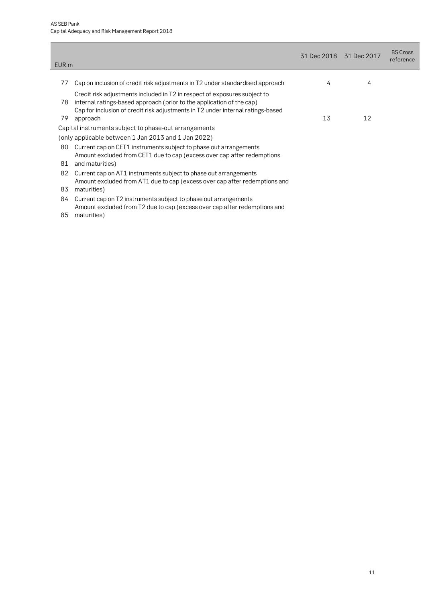| EUR m |                                                                                                                                                                                                                                       | 31 Dec 2018 31 Dec 2017 |    | <b>BS Cross</b><br>reference |
|-------|---------------------------------------------------------------------------------------------------------------------------------------------------------------------------------------------------------------------------------------|-------------------------|----|------------------------------|
|       |                                                                                                                                                                                                                                       |                         |    |                              |
| 77    | Cap on inclusion of credit risk adjustments in T2 under standardised approach                                                                                                                                                         | 4                       | 4  |                              |
| 78    | Credit risk adjustments included in T2 in respect of exposures subject to<br>internal ratings-based approach (prior to the application of the cap)<br>Cap for inclusion of credit risk adjustments in T2 under internal ratings-based |                         |    |                              |
| 79    | approach                                                                                                                                                                                                                              | 13                      | 12 |                              |
|       | Capital instruments subject to phase-out arrangements                                                                                                                                                                                 |                         |    |                              |
|       | (only applicable between 1 Jan 2013 and 1 Jan 2022)                                                                                                                                                                                   |                         |    |                              |
| 80    | Current cap on CET1 instruments subject to phase out arrangements<br>Amount excluded from CET1 due to cap (excess over cap after redemptions                                                                                          |                         |    |                              |
| 81    | and maturities)                                                                                                                                                                                                                       |                         |    |                              |
| 82    | Current cap on AT1 instruments subject to phase out arrangements<br>Amount excluded from AT1 due to cap (excess over cap after redemptions and                                                                                        |                         |    |                              |
| 83    | maturities)                                                                                                                                                                                                                           |                         |    |                              |
| 84    | Current cap on T2 instruments subject to phase out arrangements<br>Amount excluded from T2 due to cap (excess over cap after redemptions and                                                                                          |                         |    |                              |
| 85    | maturities)                                                                                                                                                                                                                           |                         |    |                              |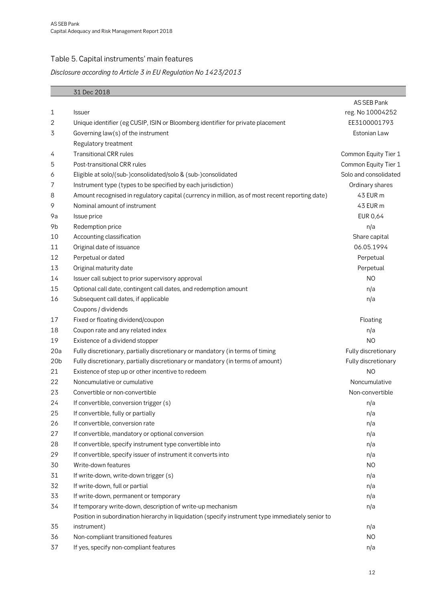### <span id="page-11-0"></span>Table 5. Capital instruments' main features

### **Disclosure according to Article 3 in EU Regulation No 1423/2013**

|                 | 31 Dec 2018                                                                                       |                       |
|-----------------|---------------------------------------------------------------------------------------------------|-----------------------|
|                 |                                                                                                   | AS SEB Pank           |
| 1               | <b>Issuer</b>                                                                                     | reg. No 10004252      |
| 2               | Unique identifier (eg CUSIP, ISIN or Bloomberg identifier for private placement                   | EE3100001793          |
| 3               | Governing law(s) of the instrument                                                                | Estonian Law          |
|                 | Regulatory treatment                                                                              |                       |
| 4               | <b>Transitional CRR rules</b>                                                                     | Common Equity Tier 1  |
| 5               | Post-transitional CRR rules                                                                       | Common Equity Tier 1  |
| 6               | Eligible at solo/(sub-)consolidated/solo & (sub-)consolidated                                     | Solo and consolidated |
| 7               | Instrument type (types to be specified by each jurisdiction)                                      | Ordinary shares       |
| 8               | Amount recognised in regulatory capital (currency in million, as of most recent reporting date)   | 43 EUR m              |
| 9               | Nominal amount of instrument                                                                      | 43 EUR m              |
| 9a              | Issue price                                                                                       | <b>EUR 0,64</b>       |
| 9b              | Redemption price                                                                                  | n/a                   |
| 10              | Accounting classification                                                                         | Share capital         |
| 11              | Original date of issuance                                                                         | 06.05.1994            |
| 12              | Perpetual or dated                                                                                | Perpetual             |
| 13              | Original maturity date                                                                            | Perpetual             |
| 14              | Issuer call subject to prior supervisory approval                                                 | N <sub>O</sub>        |
| 15              | Optional call date, contingent call dates, and redemption amount                                  | n/a                   |
| 16              | Subsequent call dates, if applicable                                                              | n/a                   |
|                 | Coupons / dividends                                                                               |                       |
| 17              | Fixed or floating dividend/coupon                                                                 | Floating              |
| 18              | Coupon rate and any related index                                                                 | n/a                   |
| 19              | Existence of a dividend stopper                                                                   | <b>NO</b>             |
| 20a             | Fully discretionary, partially discretionary or mandatory (in terms of timing                     | Fully discretionary   |
| 20 <sub>b</sub> | Fully discretionary, partially discretionary or mandatory (in terms of amount)                    | Fully discretionary   |
| 21              | Existence of step up or other incentive to redeem                                                 | N <sub>O</sub>        |
| 22              | Noncumulative or cumulative                                                                       | Noncumulative         |
| 23              | Convertible or non-convertible                                                                    | Non-convertible       |
| 24              | If convertible, conversion trigger (s)                                                            | n/a                   |
| 25              | If convertible, fully or partially                                                                | n/a                   |
| 26              | If convertible, conversion rate                                                                   | n/a                   |
| 27              | If convertible, mandatory or optional conversion                                                  | n/a                   |
| 28              | If convertible, specify instrument type convertible into                                          | n/a                   |
| 29              | If convertible, specify issuer of instrument it converts into                                     | n/a                   |
| 30              | Write-down features                                                                               | N <sub>O</sub>        |
| 31              | If write-down, write-down trigger (s)                                                             | n/a                   |
| 32              | If write-down, full or partial                                                                    | n/a                   |
| 33              | If write-down, permanent or temporary                                                             | n/a                   |
| 34              | If temporary write-down, description of write-up mechanism                                        | n/a                   |
|                 | Position in subordination hierarchy in liquidation (specify instrument type immediately senior to |                       |
| 35              | instrument)                                                                                       | n/a                   |
| 36              | Non-compliant transitioned features                                                               | N <sub>O</sub>        |
| 37              | If yes, specify non-compliant features                                                            | n/a                   |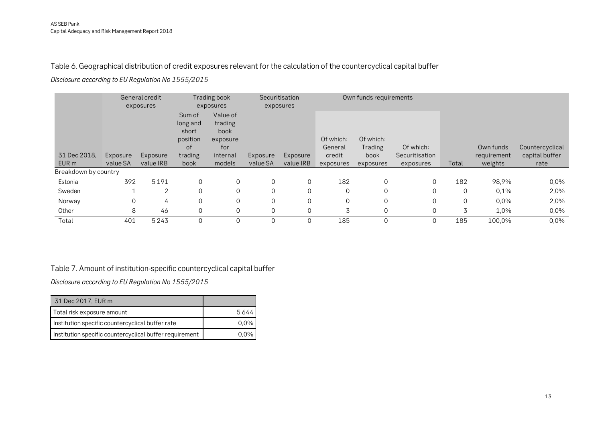#### Table 6. Geographical distribution of credit exposures relevant for the calculation of the countercyclical capital buffer

**Disclosure according to EU Regulation No 1555/2015**

|                      |          | General credit |          | Trading book |          | Securitisation |           | Own funds requirements |                |             |             |                 |
|----------------------|----------|----------------|----------|--------------|----------|----------------|-----------|------------------------|----------------|-------------|-------------|-----------------|
|                      |          | exposures      |          | exposures    |          | exposures      |           |                        |                |             |             |                 |
|                      |          |                | Sum of   | Value of     |          |                |           |                        |                |             |             |                 |
|                      |          |                | long and | trading      |          |                |           |                        |                |             |             |                 |
|                      |          |                | short    | book         |          |                |           |                        |                |             |             |                 |
|                      |          |                | position | exposure     |          |                | Of which: | Of which:              |                |             |             |                 |
|                      |          |                | οf       | for          |          |                | General   | Trading                | Of which:      |             | Own funds   | Countercyclical |
| 31 Dec 2018,         | Exposure | Exposure       | trading  | internal     | Exposure | Exposure       | credit    | book                   | Securitisation |             | requirement | capital buffer  |
| EUR m                | value SA | value IRB      | book     | models       | value SA | value IRB      | exposures | exposures              | exposures      | Total       | weights     | rate            |
| Breakdown by country |          |                |          |              |          |                |           |                        |                |             |             |                 |
| Estonia              | 392      | 5191           | $\Omega$ | $\Omega$     |          | 0              | 182       | $\mathbf 0$            | 0              | 182         | 98,9%       | 0,0%            |
| Sweden               |          | 2              | $\Omega$ | $\Omega$     |          | $\Omega$       | $\Omega$  | $\mathbf 0$            | $\overline{0}$ | $\Omega$    | 0,1%        | 2,0%            |
| Norway               | 0        | 4              | $\Omega$ | $\Omega$     |          | $\Omega$       | $\Omega$  | $\mathbf 0$            | 0              | $\mathbf 0$ | 0,0%        | 2,0%            |
| Other                | 8        | 46             | $\Omega$ | $\Omega$     |          | $\Omega$       | 3         | $\mathbf 0$            | $\Omega$       | 3           | 1,0%        | 0,0%            |
| Total                | 401      | 5243           | $\Omega$ | $\Omega$     |          | $\Omega$       | 185       | $\Omega$               | $\Omega$       | 185         | 100,0%      | 0,0%            |

#### <span id="page-12-0"></span>Table 7. Amount of institution-specific countercyclical capital buffer

**Disclosure according to EU Regulation No 1555/2015**

<span id="page-12-1"></span>

| 31 Dec 2017, EUR m                                      |         |
|---------------------------------------------------------|---------|
| Total risk exposure amount                              | 5644    |
| Institution specific countercyclical buffer rate        | $0.0\%$ |
| Institution specific countercyclical buffer requirement | በ በ%    |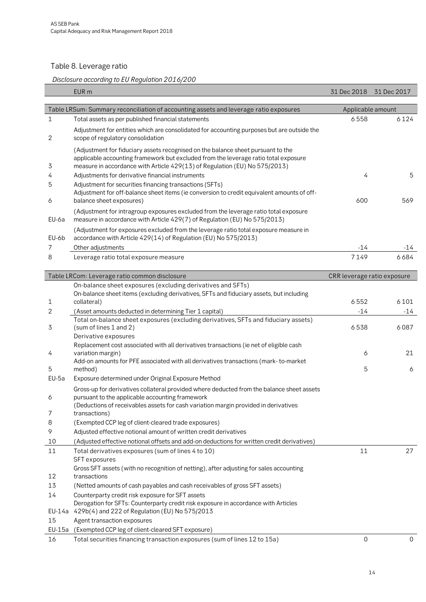### <span id="page-13-0"></span>Table 8. Leverage ratio

#### **Disclosure according to EU Regulation 2016/200**

| Table LRSum: Summary reconciliation of accounting assets and leverage ratio exposures<br>Applicable amount<br>6124<br>1<br>6558<br>Total assets as per published financial statements<br>Adjustment for entities which are consolidated for accounting purposes but are outside the<br>2<br>scope of regulatory consolidation<br>(Adjustment for fiduciary assets recognised on the balance sheet pursuant to the<br>applicable accounting framework but excluded from the leverage ratio total exposure<br>measure in accordance with Article 429(13) of Regulation (EU) No 575/2013)<br>3<br>Adjustments for derivative financial instruments<br>4<br>5<br>4<br>Adjustment for securities financing transactions (SFTs)<br>5<br>Adjustment for off-balance sheet items (ie conversion to credit equivalent amounts of off-<br>600<br>569<br>balance sheet exposures)<br>6<br>(Adjustment for intragroup exposures excluded from the leverage ratio total exposure<br>measure in accordance with Article 429(7) of Regulation (EU) No 575/2013)<br>EU-6a<br>(Adjustment for exposures excluded from the leverage ratio total exposure measure in<br>accordance with Article 429(14) of Regulation (EU) No 575/2013)<br>EU-6b<br>Other adjustments<br>7<br>-14<br>-14<br>6684<br>7149<br>8<br>Leverage ratio total exposure measure<br>Table LRCom: Leverage ratio common disclosure<br>CRR leverage ratio exposure<br>On-balance sheet exposures (excluding derivatives and SFTs)<br>On-balance sheet items (excluding derivatives, SFTs and fiduciary assets, but including<br>6552<br>6101<br>collateral)<br>1<br>2<br>$-14$<br>$-14$<br>(Asset amounts deducted in determining Tier 1 capital)<br>Total on-balance sheet exposures (excluding derivatives, SFTs and fiduciary assets)<br>(sum of lines 1 and 2)<br>3<br>6538<br>6087<br>Derivative exposures<br>Replacement cost associated with all derivatives transactions (ie net of eligible cash<br>21<br>variation margin)<br>6<br>4<br>Add-on amounts for PFE associated with all derivatives transactions (mark-to-market<br>5<br>5<br>method)<br>6<br>$EU-5a$<br>Exposure determined under Original Exposure Method<br>Gross-up for derivatives collateral provided where deducted from the balance sheet assets<br>pursuant to the applicable accounting framework<br>6<br>(Deductions of receivables assets for cash variation margin provided in derivatives<br>7<br>transactions)<br>8<br>(Exempted CCP leg of client-cleared trade exposures)<br>9<br>Adjusted effective notional amount of written credit derivatives<br>10<br>(Adjusted effective notional offsets and add-on deductions for written credit derivatives)<br>11<br>27<br>11<br>Total derivatives exposures (sum of lines 4 to 10)<br>SFT exposures<br>Gross SFT assets (with no recognition of netting), after adjusting for sales accounting<br>12<br>transactions<br>13<br>(Netted amounts of cash payables and cash receivables of gross SFT assets)<br>14<br>Counterparty credit risk exposure for SFT assets<br>Derogation for SFTs: Counterparty credit risk exposure in accordance with Articles<br>EU-14a 429b(4) and 222 of Regulation (EU) No 575/2013<br>15<br>Agent transaction exposures<br>EU-15a<br>(Exempted CCP leg of client-cleared SFT exposure)<br>Total securities financing transaction exposures (sum of lines 12 to 15a)<br>0<br>16<br>0 | EUR <sub>m</sub> | 31 Dec 2018 | 31 Dec 2017 |
|-------------------------------------------------------------------------------------------------------------------------------------------------------------------------------------------------------------------------------------------------------------------------------------------------------------------------------------------------------------------------------------------------------------------------------------------------------------------------------------------------------------------------------------------------------------------------------------------------------------------------------------------------------------------------------------------------------------------------------------------------------------------------------------------------------------------------------------------------------------------------------------------------------------------------------------------------------------------------------------------------------------------------------------------------------------------------------------------------------------------------------------------------------------------------------------------------------------------------------------------------------------------------------------------------------------------------------------------------------------------------------------------------------------------------------------------------------------------------------------------------------------------------------------------------------------------------------------------------------------------------------------------------------------------------------------------------------------------------------------------------------------------------------------------------------------------------------------------------------------------------------------------------------------------------------------------------------------------------------------------------------------------------------------------------------------------------------------------------------------------------------------------------------------------------------------------------------------------------------------------------------------------------------------------------------------------------------------------------------------------------------------------------------------------------------------------------------------------------------------------------------------------------------------------------------------------------------------------------------------------------------------------------------------------------------------------------------------------------------------------------------------------------------------------------------------------------------------------------------------------------------------------------------------------------------------------------------------------------------------------------------------------------------------------------------------------------------------------------------------------------------------------------------------------------------------------------------------------------------------------------------------------------------------------------------------------------------------------------------------------------------------------------------|------------------|-------------|-------------|
|                                                                                                                                                                                                                                                                                                                                                                                                                                                                                                                                                                                                                                                                                                                                                                                                                                                                                                                                                                                                                                                                                                                                                                                                                                                                                                                                                                                                                                                                                                                                                                                                                                                                                                                                                                                                                                                                                                                                                                                                                                                                                                                                                                                                                                                                                                                                                                                                                                                                                                                                                                                                                                                                                                                                                                                                                                                                                                                                                                                                                                                                                                                                                                                                                                                                                                                                                                                                       |                  |             |             |
|                                                                                                                                                                                                                                                                                                                                                                                                                                                                                                                                                                                                                                                                                                                                                                                                                                                                                                                                                                                                                                                                                                                                                                                                                                                                                                                                                                                                                                                                                                                                                                                                                                                                                                                                                                                                                                                                                                                                                                                                                                                                                                                                                                                                                                                                                                                                                                                                                                                                                                                                                                                                                                                                                                                                                                                                                                                                                                                                                                                                                                                                                                                                                                                                                                                                                                                                                                                                       |                  |             |             |
|                                                                                                                                                                                                                                                                                                                                                                                                                                                                                                                                                                                                                                                                                                                                                                                                                                                                                                                                                                                                                                                                                                                                                                                                                                                                                                                                                                                                                                                                                                                                                                                                                                                                                                                                                                                                                                                                                                                                                                                                                                                                                                                                                                                                                                                                                                                                                                                                                                                                                                                                                                                                                                                                                                                                                                                                                                                                                                                                                                                                                                                                                                                                                                                                                                                                                                                                                                                                       |                  |             |             |
|                                                                                                                                                                                                                                                                                                                                                                                                                                                                                                                                                                                                                                                                                                                                                                                                                                                                                                                                                                                                                                                                                                                                                                                                                                                                                                                                                                                                                                                                                                                                                                                                                                                                                                                                                                                                                                                                                                                                                                                                                                                                                                                                                                                                                                                                                                                                                                                                                                                                                                                                                                                                                                                                                                                                                                                                                                                                                                                                                                                                                                                                                                                                                                                                                                                                                                                                                                                                       |                  |             |             |
|                                                                                                                                                                                                                                                                                                                                                                                                                                                                                                                                                                                                                                                                                                                                                                                                                                                                                                                                                                                                                                                                                                                                                                                                                                                                                                                                                                                                                                                                                                                                                                                                                                                                                                                                                                                                                                                                                                                                                                                                                                                                                                                                                                                                                                                                                                                                                                                                                                                                                                                                                                                                                                                                                                                                                                                                                                                                                                                                                                                                                                                                                                                                                                                                                                                                                                                                                                                                       |                  |             |             |
|                                                                                                                                                                                                                                                                                                                                                                                                                                                                                                                                                                                                                                                                                                                                                                                                                                                                                                                                                                                                                                                                                                                                                                                                                                                                                                                                                                                                                                                                                                                                                                                                                                                                                                                                                                                                                                                                                                                                                                                                                                                                                                                                                                                                                                                                                                                                                                                                                                                                                                                                                                                                                                                                                                                                                                                                                                                                                                                                                                                                                                                                                                                                                                                                                                                                                                                                                                                                       |                  |             |             |
|                                                                                                                                                                                                                                                                                                                                                                                                                                                                                                                                                                                                                                                                                                                                                                                                                                                                                                                                                                                                                                                                                                                                                                                                                                                                                                                                                                                                                                                                                                                                                                                                                                                                                                                                                                                                                                                                                                                                                                                                                                                                                                                                                                                                                                                                                                                                                                                                                                                                                                                                                                                                                                                                                                                                                                                                                                                                                                                                                                                                                                                                                                                                                                                                                                                                                                                                                                                                       |                  |             |             |
|                                                                                                                                                                                                                                                                                                                                                                                                                                                                                                                                                                                                                                                                                                                                                                                                                                                                                                                                                                                                                                                                                                                                                                                                                                                                                                                                                                                                                                                                                                                                                                                                                                                                                                                                                                                                                                                                                                                                                                                                                                                                                                                                                                                                                                                                                                                                                                                                                                                                                                                                                                                                                                                                                                                                                                                                                                                                                                                                                                                                                                                                                                                                                                                                                                                                                                                                                                                                       |                  |             |             |
|                                                                                                                                                                                                                                                                                                                                                                                                                                                                                                                                                                                                                                                                                                                                                                                                                                                                                                                                                                                                                                                                                                                                                                                                                                                                                                                                                                                                                                                                                                                                                                                                                                                                                                                                                                                                                                                                                                                                                                                                                                                                                                                                                                                                                                                                                                                                                                                                                                                                                                                                                                                                                                                                                                                                                                                                                                                                                                                                                                                                                                                                                                                                                                                                                                                                                                                                                                                                       |                  |             |             |
|                                                                                                                                                                                                                                                                                                                                                                                                                                                                                                                                                                                                                                                                                                                                                                                                                                                                                                                                                                                                                                                                                                                                                                                                                                                                                                                                                                                                                                                                                                                                                                                                                                                                                                                                                                                                                                                                                                                                                                                                                                                                                                                                                                                                                                                                                                                                                                                                                                                                                                                                                                                                                                                                                                                                                                                                                                                                                                                                                                                                                                                                                                                                                                                                                                                                                                                                                                                                       |                  |             |             |
|                                                                                                                                                                                                                                                                                                                                                                                                                                                                                                                                                                                                                                                                                                                                                                                                                                                                                                                                                                                                                                                                                                                                                                                                                                                                                                                                                                                                                                                                                                                                                                                                                                                                                                                                                                                                                                                                                                                                                                                                                                                                                                                                                                                                                                                                                                                                                                                                                                                                                                                                                                                                                                                                                                                                                                                                                                                                                                                                                                                                                                                                                                                                                                                                                                                                                                                                                                                                       |                  |             |             |
|                                                                                                                                                                                                                                                                                                                                                                                                                                                                                                                                                                                                                                                                                                                                                                                                                                                                                                                                                                                                                                                                                                                                                                                                                                                                                                                                                                                                                                                                                                                                                                                                                                                                                                                                                                                                                                                                                                                                                                                                                                                                                                                                                                                                                                                                                                                                                                                                                                                                                                                                                                                                                                                                                                                                                                                                                                                                                                                                                                                                                                                                                                                                                                                                                                                                                                                                                                                                       |                  |             |             |
|                                                                                                                                                                                                                                                                                                                                                                                                                                                                                                                                                                                                                                                                                                                                                                                                                                                                                                                                                                                                                                                                                                                                                                                                                                                                                                                                                                                                                                                                                                                                                                                                                                                                                                                                                                                                                                                                                                                                                                                                                                                                                                                                                                                                                                                                                                                                                                                                                                                                                                                                                                                                                                                                                                                                                                                                                                                                                                                                                                                                                                                                                                                                                                                                                                                                                                                                                                                                       |                  |             |             |
|                                                                                                                                                                                                                                                                                                                                                                                                                                                                                                                                                                                                                                                                                                                                                                                                                                                                                                                                                                                                                                                                                                                                                                                                                                                                                                                                                                                                                                                                                                                                                                                                                                                                                                                                                                                                                                                                                                                                                                                                                                                                                                                                                                                                                                                                                                                                                                                                                                                                                                                                                                                                                                                                                                                                                                                                                                                                                                                                                                                                                                                                                                                                                                                                                                                                                                                                                                                                       |                  |             |             |
|                                                                                                                                                                                                                                                                                                                                                                                                                                                                                                                                                                                                                                                                                                                                                                                                                                                                                                                                                                                                                                                                                                                                                                                                                                                                                                                                                                                                                                                                                                                                                                                                                                                                                                                                                                                                                                                                                                                                                                                                                                                                                                                                                                                                                                                                                                                                                                                                                                                                                                                                                                                                                                                                                                                                                                                                                                                                                                                                                                                                                                                                                                                                                                                                                                                                                                                                                                                                       |                  |             |             |
|                                                                                                                                                                                                                                                                                                                                                                                                                                                                                                                                                                                                                                                                                                                                                                                                                                                                                                                                                                                                                                                                                                                                                                                                                                                                                                                                                                                                                                                                                                                                                                                                                                                                                                                                                                                                                                                                                                                                                                                                                                                                                                                                                                                                                                                                                                                                                                                                                                                                                                                                                                                                                                                                                                                                                                                                                                                                                                                                                                                                                                                                                                                                                                                                                                                                                                                                                                                                       |                  |             |             |
|                                                                                                                                                                                                                                                                                                                                                                                                                                                                                                                                                                                                                                                                                                                                                                                                                                                                                                                                                                                                                                                                                                                                                                                                                                                                                                                                                                                                                                                                                                                                                                                                                                                                                                                                                                                                                                                                                                                                                                                                                                                                                                                                                                                                                                                                                                                                                                                                                                                                                                                                                                                                                                                                                                                                                                                                                                                                                                                                                                                                                                                                                                                                                                                                                                                                                                                                                                                                       |                  |             |             |
|                                                                                                                                                                                                                                                                                                                                                                                                                                                                                                                                                                                                                                                                                                                                                                                                                                                                                                                                                                                                                                                                                                                                                                                                                                                                                                                                                                                                                                                                                                                                                                                                                                                                                                                                                                                                                                                                                                                                                                                                                                                                                                                                                                                                                                                                                                                                                                                                                                                                                                                                                                                                                                                                                                                                                                                                                                                                                                                                                                                                                                                                                                                                                                                                                                                                                                                                                                                                       |                  |             |             |
|                                                                                                                                                                                                                                                                                                                                                                                                                                                                                                                                                                                                                                                                                                                                                                                                                                                                                                                                                                                                                                                                                                                                                                                                                                                                                                                                                                                                                                                                                                                                                                                                                                                                                                                                                                                                                                                                                                                                                                                                                                                                                                                                                                                                                                                                                                                                                                                                                                                                                                                                                                                                                                                                                                                                                                                                                                                                                                                                                                                                                                                                                                                                                                                                                                                                                                                                                                                                       |                  |             |             |
|                                                                                                                                                                                                                                                                                                                                                                                                                                                                                                                                                                                                                                                                                                                                                                                                                                                                                                                                                                                                                                                                                                                                                                                                                                                                                                                                                                                                                                                                                                                                                                                                                                                                                                                                                                                                                                                                                                                                                                                                                                                                                                                                                                                                                                                                                                                                                                                                                                                                                                                                                                                                                                                                                                                                                                                                                                                                                                                                                                                                                                                                                                                                                                                                                                                                                                                                                                                                       |                  |             |             |
|                                                                                                                                                                                                                                                                                                                                                                                                                                                                                                                                                                                                                                                                                                                                                                                                                                                                                                                                                                                                                                                                                                                                                                                                                                                                                                                                                                                                                                                                                                                                                                                                                                                                                                                                                                                                                                                                                                                                                                                                                                                                                                                                                                                                                                                                                                                                                                                                                                                                                                                                                                                                                                                                                                                                                                                                                                                                                                                                                                                                                                                                                                                                                                                                                                                                                                                                                                                                       |                  |             |             |
|                                                                                                                                                                                                                                                                                                                                                                                                                                                                                                                                                                                                                                                                                                                                                                                                                                                                                                                                                                                                                                                                                                                                                                                                                                                                                                                                                                                                                                                                                                                                                                                                                                                                                                                                                                                                                                                                                                                                                                                                                                                                                                                                                                                                                                                                                                                                                                                                                                                                                                                                                                                                                                                                                                                                                                                                                                                                                                                                                                                                                                                                                                                                                                                                                                                                                                                                                                                                       |                  |             |             |
|                                                                                                                                                                                                                                                                                                                                                                                                                                                                                                                                                                                                                                                                                                                                                                                                                                                                                                                                                                                                                                                                                                                                                                                                                                                                                                                                                                                                                                                                                                                                                                                                                                                                                                                                                                                                                                                                                                                                                                                                                                                                                                                                                                                                                                                                                                                                                                                                                                                                                                                                                                                                                                                                                                                                                                                                                                                                                                                                                                                                                                                                                                                                                                                                                                                                                                                                                                                                       |                  |             |             |
|                                                                                                                                                                                                                                                                                                                                                                                                                                                                                                                                                                                                                                                                                                                                                                                                                                                                                                                                                                                                                                                                                                                                                                                                                                                                                                                                                                                                                                                                                                                                                                                                                                                                                                                                                                                                                                                                                                                                                                                                                                                                                                                                                                                                                                                                                                                                                                                                                                                                                                                                                                                                                                                                                                                                                                                                                                                                                                                                                                                                                                                                                                                                                                                                                                                                                                                                                                                                       |                  |             |             |
|                                                                                                                                                                                                                                                                                                                                                                                                                                                                                                                                                                                                                                                                                                                                                                                                                                                                                                                                                                                                                                                                                                                                                                                                                                                                                                                                                                                                                                                                                                                                                                                                                                                                                                                                                                                                                                                                                                                                                                                                                                                                                                                                                                                                                                                                                                                                                                                                                                                                                                                                                                                                                                                                                                                                                                                                                                                                                                                                                                                                                                                                                                                                                                                                                                                                                                                                                                                                       |                  |             |             |
|                                                                                                                                                                                                                                                                                                                                                                                                                                                                                                                                                                                                                                                                                                                                                                                                                                                                                                                                                                                                                                                                                                                                                                                                                                                                                                                                                                                                                                                                                                                                                                                                                                                                                                                                                                                                                                                                                                                                                                                                                                                                                                                                                                                                                                                                                                                                                                                                                                                                                                                                                                                                                                                                                                                                                                                                                                                                                                                                                                                                                                                                                                                                                                                                                                                                                                                                                                                                       |                  |             |             |
|                                                                                                                                                                                                                                                                                                                                                                                                                                                                                                                                                                                                                                                                                                                                                                                                                                                                                                                                                                                                                                                                                                                                                                                                                                                                                                                                                                                                                                                                                                                                                                                                                                                                                                                                                                                                                                                                                                                                                                                                                                                                                                                                                                                                                                                                                                                                                                                                                                                                                                                                                                                                                                                                                                                                                                                                                                                                                                                                                                                                                                                                                                                                                                                                                                                                                                                                                                                                       |                  |             |             |
|                                                                                                                                                                                                                                                                                                                                                                                                                                                                                                                                                                                                                                                                                                                                                                                                                                                                                                                                                                                                                                                                                                                                                                                                                                                                                                                                                                                                                                                                                                                                                                                                                                                                                                                                                                                                                                                                                                                                                                                                                                                                                                                                                                                                                                                                                                                                                                                                                                                                                                                                                                                                                                                                                                                                                                                                                                                                                                                                                                                                                                                                                                                                                                                                                                                                                                                                                                                                       |                  |             |             |
|                                                                                                                                                                                                                                                                                                                                                                                                                                                                                                                                                                                                                                                                                                                                                                                                                                                                                                                                                                                                                                                                                                                                                                                                                                                                                                                                                                                                                                                                                                                                                                                                                                                                                                                                                                                                                                                                                                                                                                                                                                                                                                                                                                                                                                                                                                                                                                                                                                                                                                                                                                                                                                                                                                                                                                                                                                                                                                                                                                                                                                                                                                                                                                                                                                                                                                                                                                                                       |                  |             |             |
|                                                                                                                                                                                                                                                                                                                                                                                                                                                                                                                                                                                                                                                                                                                                                                                                                                                                                                                                                                                                                                                                                                                                                                                                                                                                                                                                                                                                                                                                                                                                                                                                                                                                                                                                                                                                                                                                                                                                                                                                                                                                                                                                                                                                                                                                                                                                                                                                                                                                                                                                                                                                                                                                                                                                                                                                                                                                                                                                                                                                                                                                                                                                                                                                                                                                                                                                                                                                       |                  |             |             |
|                                                                                                                                                                                                                                                                                                                                                                                                                                                                                                                                                                                                                                                                                                                                                                                                                                                                                                                                                                                                                                                                                                                                                                                                                                                                                                                                                                                                                                                                                                                                                                                                                                                                                                                                                                                                                                                                                                                                                                                                                                                                                                                                                                                                                                                                                                                                                                                                                                                                                                                                                                                                                                                                                                                                                                                                                                                                                                                                                                                                                                                                                                                                                                                                                                                                                                                                                                                                       |                  |             |             |
|                                                                                                                                                                                                                                                                                                                                                                                                                                                                                                                                                                                                                                                                                                                                                                                                                                                                                                                                                                                                                                                                                                                                                                                                                                                                                                                                                                                                                                                                                                                                                                                                                                                                                                                                                                                                                                                                                                                                                                                                                                                                                                                                                                                                                                                                                                                                                                                                                                                                                                                                                                                                                                                                                                                                                                                                                                                                                                                                                                                                                                                                                                                                                                                                                                                                                                                                                                                                       |                  |             |             |
|                                                                                                                                                                                                                                                                                                                                                                                                                                                                                                                                                                                                                                                                                                                                                                                                                                                                                                                                                                                                                                                                                                                                                                                                                                                                                                                                                                                                                                                                                                                                                                                                                                                                                                                                                                                                                                                                                                                                                                                                                                                                                                                                                                                                                                                                                                                                                                                                                                                                                                                                                                                                                                                                                                                                                                                                                                                                                                                                                                                                                                                                                                                                                                                                                                                                                                                                                                                                       |                  |             |             |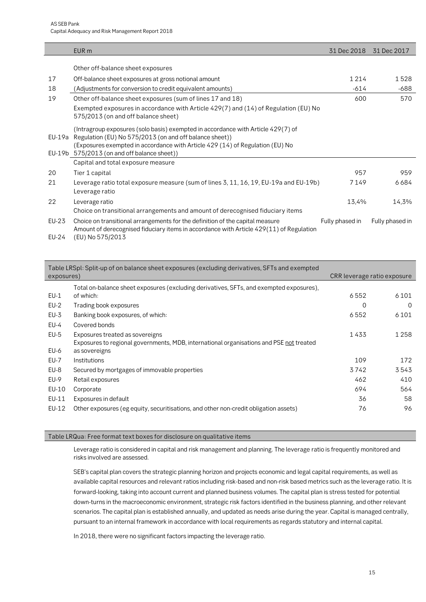|        | EUR <sub>m</sub>                                                                                                                                                                                                                                                            | 31 Dec 2018     | 31 Dec 2017     |
|--------|-----------------------------------------------------------------------------------------------------------------------------------------------------------------------------------------------------------------------------------------------------------------------------|-----------------|-----------------|
|        | Other off-balance sheet exposures                                                                                                                                                                                                                                           |                 |                 |
|        |                                                                                                                                                                                                                                                                             |                 |                 |
| 17     | Off-balance sheet exposures at gross notional amount                                                                                                                                                                                                                        | 1214            | 1528            |
| 18     | (Adjustments for conversion to credit equivalent amounts)                                                                                                                                                                                                                   | $-614$          | $-688$          |
| 19     | Other off-balance sheet exposures (sum of lines 17 and 18)                                                                                                                                                                                                                  | 600             | 570             |
|        | Exempted exposures in accordance with Article 429(7) and (14) of Regulation (EU) No<br>575/2013 (on and off balance sheet)                                                                                                                                                  |                 |                 |
| EU-19a | (Intragroup exposures (solo basis) exempted in accordance with Article 429(7) of<br>Regulation (EU) No 575/2013 (on and off balance sheet))<br>(Exposures exempted in accordance with Article 429 (14) of Regulation (EU) No<br>EU-19b 575/2013 (on and off balance sheet)) |                 |                 |
|        | Capital and total exposure measure                                                                                                                                                                                                                                          |                 |                 |
| 20     | Tier 1 capital                                                                                                                                                                                                                                                              | 957             | 959             |
| 21     | Leverage ratio total exposure measure (sum of lines 3, 11, 16, 19, EU-19a and EU-19b)<br>Leverage ratio                                                                                                                                                                     | 7149            | 6684            |
| 22     | Leverage ratio<br>Choice on transitional arrangements and amount of derecognised fiduciary items                                                                                                                                                                            | 13,4%           | 14,3%           |
| EU-23  | Choice on transitional arrangements for the definition of the capital measure<br>Amount of derecognised fiduciary items in accordance with Article 429(11) of Regulation                                                                                                    | Fully phased in | Fully phased in |
| EU-24  | (EU) No 575/2013                                                                                                                                                                                                                                                            |                 |                 |

| exposures) | Table LRSpl: Split-up of on balance sheet exposures (excluding derivatives, SFTs and exempted                              | CRR leverage ratio exposure |         |
|------------|----------------------------------------------------------------------------------------------------------------------------|-----------------------------|---------|
|            |                                                                                                                            |                             |         |
| $EU-1$     | Total on-balance sheet exposures (excluding derivatives, SFTs, and exempted exposures),<br>of which:                       | 6552                        | 6101    |
| $EU-2$     | Trading book exposures                                                                                                     | 0                           | 0       |
| $EU-3$     | Banking book exposures, of which:                                                                                          | 6552                        | 6 1 0 1 |
| EU-4       | Covered bonds                                                                                                              |                             |         |
| $EU-5$     | Exposures treated as sovereigns<br>Exposures to regional governments, MDB, international organisations and PSE not treated | 1433                        | 1 2 5 8 |
| EU-6       | as sovereigns                                                                                                              |                             |         |
| EU-7       | Institutions                                                                                                               | 109                         | 172     |
| EU-8       | Secured by mortgages of immovable properties                                                                               | 3742                        | 3543    |
| EU-9       | Retail exposures                                                                                                           | 462                         | 410     |
| EU-10      | Corporate                                                                                                                  | 694                         | 564     |
| EU-11      | Exposures in default                                                                                                       | 36                          | 58      |
| EU-12      | Other exposures (eg equity, securitisations, and other non-credit obligation assets)                                       | 76                          | 96      |

#### Table LRQua: Free format text boxes for disclosure on qualitative items

Leverage ratio is considered in capital and risk management and planning. The leverage ratio is frequently monitored and risks involved are assessed.

SEB's capital plan covers the strategic planning horizon and projects economic and legal capital requirements, as well as available capital resources and relevant ratios including risk-based and non-risk based metrics such as the leverage ratio. It is forward-looking, taking into account current and planned business volumes. The capital plan is stress tested for potential down-turns in the macroeconomic environment, strategic risk factors identified in the business planning, and other relevant scenarios. The capital plan is established annually, and updated as needs arise during the year. Capital is managed centrally, pursuant to an internal framework in accordance with local requirements as regards statutory and internal capital.

In 2018, there were no significant factors impacting the leverage ratio.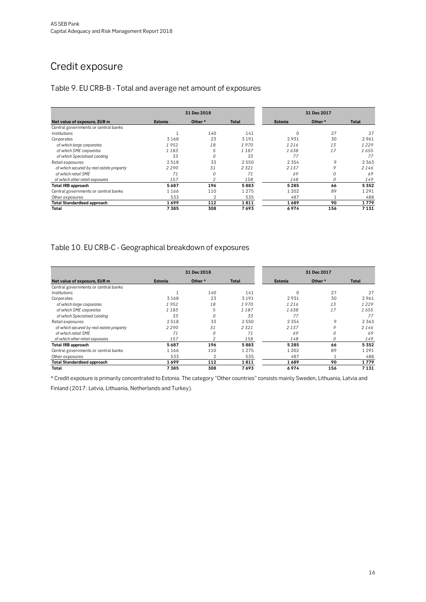### Credit exposure

### <span id="page-15-0"></span>Table 9. EU CRB-B - Total and average net amount of exposures

|                                          |         |                | 31 Dec 2017 |          |          |         |
|------------------------------------------|---------|----------------|-------------|----------|----------|---------|
| Net value of exposure, EUR m             | Estonia | Other*         | Total       | Estonia  | Other*   | Total   |
| Central governments or central banks     |         |                |             |          |          |         |
| Institutions                             |         | 140            | 141         | $\Omega$ | 27       | 27      |
| Corporates                               | 3168    | 23             | 3191        | 2931     | 30       | 2961    |
| of which large corporates                | 1952    | 18             | 1970        | 1216     | 13       | 1229    |
| of which SME corporates                  | 1183    | 5              | 1187        | 1638     | 17       | 1655    |
| of which Specialised Lending             | 33      | $\Omega$       | 33          | 77       |          | 77      |
| Retail exposures                         | 2518    | 33             | 2550        | 2 3 5 4  | 9        | 2 3 6 3 |
| of which secured by real estate property | 2290    | 31             | 2321        | 2137     |          | 2146    |
| of which retail SME                      | 71      | 0              | 71          | 69       | $\Omega$ | 69      |
| of which other retail exposures          | 157     | $\mathfrak{p}$ | 158         | 148      | 0        | 149     |
| <b>Total IRB approach</b>                | 5687    | 196            | 5883        | 5285     | 66       | 5352    |
| Central governments or central banks     | 1166    | 110            | 1 2 7 5     | 1 2 0 2  | 89       | 1 2 9 1 |
| Other exposures                          | 533     |                | 535         | 487      |          | 488     |
| <b>Total Standardised approach</b>       | 1699    | 112            | 1811        | 1689     | 90       | 1779    |
| Total                                    | 7385    | 308            | 7693        | 6974     | 156      | 7131    |

### <span id="page-15-1"></span>Table 10. EU CRB-C - Geographical breakdown of exposures

|                                          |         | 31 Dec 2017    |              |          |        |         |  |
|------------------------------------------|---------|----------------|--------------|----------|--------|---------|--|
| Net value of exposure, EUR m             | Estonia | Other *        | <b>Total</b> | Estonia  | Other* | Total   |  |
| Central governments or central banks     |         |                |              |          |        |         |  |
| Institutions                             |         | 140            | 141          | $\Omega$ | 27     | 27      |  |
| Corporates                               | 3168    | 23             | 3191         | 2931     | 30     | 2961    |  |
| of which large corporates                | 1952    | 18             | 1970         | 1216     | 13     | 1229    |  |
| of which SME corporates                  | 1183    | 5              | 1187         | 1638     | 17     | 1655    |  |
| of which Specialised Lending             | 33      | $\Omega$       | 33           | 77       |        | 77      |  |
| Retail exposures                         | 2518    | 33             | 2550         | 2 3 5 4  | 9      | 2 3 6 3 |  |
| of which secured by real estate property | 2290    | 31             | 2321         | 2137     | 9      | 2146    |  |
| of which retail SME                      | 71      | 0              | 71           | 69       | 0      | 69      |  |
| of which other retail exposures          | 157     | 2              | 158          | 148      | 0      | 149     |  |
| Total IRB approach                       | 5687    | 196            | 5883         | 5 2 8 5  | 66     | 5352    |  |
| Central governments or central banks     | 1166    | 110            | 1 2 7 5      | 1 2 0 2  | 89     | 1 2 9 1 |  |
| Other exposures                          | 533     | $\mathfrak{p}$ | 535          | 487      |        | 488     |  |
| <b>Total Standardised approach</b>       | 1699    | 112            | 1811         | 1689     | 90     | 1779    |  |
| Total                                    | 7385    | 308            | 7693         | 6974     | 156    | 7131    |  |

\* Credit exposure is primarily concentrated to Estonia. The category "Other countries" consists mainly Sweden, Lithuania, Latvia and

Finland (2017: Latvia, Lithuania, Netherlands and Turkey).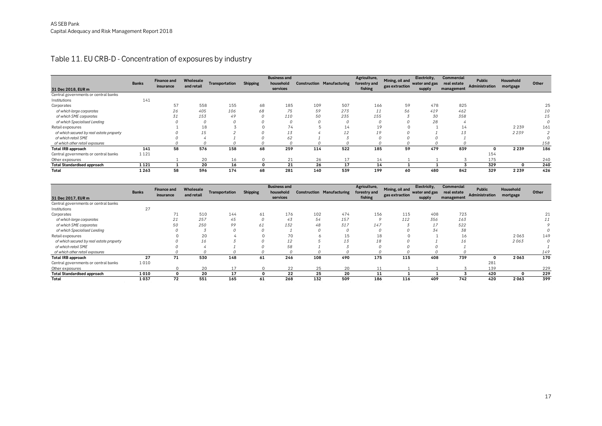### Table 11. EU CRB-D - Concentration of exposures by industry

| 31 Dec 2018, EUR m                       | <b>Banks</b> | <b>Finance and</b><br>insurance | Wholesale<br>and retail | Transportation | <b>Shipping</b> | <b>Business and</b><br>household<br>services | <b>Construction Manufacturing</b> |     | Agriculture,<br>forestry and<br>fishing | Mining, oil and<br>gas extraction | Electricity,<br>water and gas<br>supply | Commercial<br>real estate<br>management | <b>Public</b><br>Administration | Household<br>mortgage | Other |
|------------------------------------------|--------------|---------------------------------|-------------------------|----------------|-----------------|----------------------------------------------|-----------------------------------|-----|-----------------------------------------|-----------------------------------|-----------------------------------------|-----------------------------------------|---------------------------------|-----------------------|-------|
| Central governments or central banks     |              |                                 |                         |                |                 |                                              |                                   |     |                                         |                                   |                                         |                                         |                                 |                       |       |
| Institutions                             | 141          |                                 |                         |                |                 |                                              |                                   |     |                                         |                                   |                                         |                                         |                                 |                       |       |
| Corporates                               |              | 57                              | 558                     | 155            | 68              | 185                                          | 109                               | 507 | 166                                     | 59                                | 478                                     | 825                                     |                                 |                       | 25    |
| of which large corporates                |              | 26                              | 405                     | 106            | 68              | 75                                           | 59                                | 273 | 11                                      | 56                                | 419                                     | 462                                     |                                 |                       | 10    |
| of which SME corporates                  |              | 31                              | 153                     | 49             |                 | 110                                          | 50                                | 235 | 155                                     |                                   | 30                                      | 358                                     |                                 |                       | 15    |
| of which Specialised Lending             |              |                                 |                         |                |                 |                                              |                                   | 0   |                                         |                                   | 28                                      |                                         |                                 |                       |       |
| Retail exposures                         |              |                                 | 18                      |                |                 | 74                                           |                                   | 14  | 19                                      |                                   |                                         | 14                                      |                                 | 2 2 3 9               | 161   |
| of which secured by real estate property |              |                                 | 15                      |                |                 | 13                                           |                                   | 12  | 19                                      |                                   |                                         | 13                                      |                                 | 2239                  | 2     |
| of which retail SME                      |              |                                 |                         |                |                 | 62                                           |                                   |     |                                         |                                   |                                         |                                         |                                 |                       |       |
| of which other retail exposures          |              |                                 |                         |                |                 |                                              |                                   |     |                                         |                                   |                                         |                                         |                                 |                       | 158   |
| <b>Total IRB approach</b>                | 141          | 58                              | 576                     | 158            | 68              | 259                                          | 114                               | 522 | 185                                     | 59                                | 479                                     | 839                                     | 0                               | 2 2 3 9               | 186   |
| Central governments or central banks     | 1 1 2 1      |                                 |                         |                |                 |                                              |                                   |     |                                         |                                   |                                         |                                         | 154                             |                       |       |
| Other exposures                          |              |                                 | 20                      | 16             | 0               | 21                                           | 26                                | 17  | 14                                      |                                   |                                         |                                         | 175                             |                       | 240   |
| <b>Total Standardised approach</b>       | 1 1 2 1      |                                 | 20                      | 16             |                 | 21                                           | 26                                | 17  | 14                                      |                                   |                                         |                                         | 329                             | 0                     | 240   |
| Total                                    | 1263         | 58                              | 596                     | 174            | 68              | 281                                          | 140                               | 539 | 199                                     | 60                                | 480                                     | 842                                     | 329                             | 2 2 3 9               | 426   |

<span id="page-16-0"></span>

| Other exposures                                      |              | ᆠ                               | ZU                      | ⊥∪             | ◡               | $2 +$                                        | ZU       | $\pm$                             | ᆠᆇ                                      | ᆠ                                 | <b>.</b>                      | ◡                                | <b>10</b>                |                       | 44 U  |
|------------------------------------------------------|--------------|---------------------------------|-------------------------|----------------|-----------------|----------------------------------------------|----------|-----------------------------------|-----------------------------------------|-----------------------------------|-------------------------------|----------------------------------|--------------------------|-----------------------|-------|
| <b>Total Standardised approach</b>                   | 1121         |                                 | 20                      | 16             | $\Omega$        | 21                                           | 26       | 17                                | 14                                      |                                   |                               | 3                                | 329                      | $\Omega$              | 240   |
| Total                                                | 1263         | 58                              | 596                     | 174            | 68              | 281                                          | 140      | 539                               | 199                                     | 60                                | 480                           | 842                              | 329                      | 2 2 3 9               | 426   |
|                                                      |              |                                 |                         |                |                 |                                              |          |                                   |                                         |                                   |                               |                                  |                          |                       |       |
|                                                      | <b>Banks</b> | <b>Finance and</b><br>insurance | Wholesale<br>and retail | Transportation | <b>Shipping</b> | <b>Business and</b><br>household<br>services |          | <b>Construction Manufacturing</b> | Agriculture,<br>forestry and<br>fishing | Mining, oil and<br>gas extraction | Electricity,<br>water and gas | <b>Commercial</b><br>real estate | Public<br>Administration | Household<br>mortgage | Other |
| 31 Dec 2017, EUR m                                   |              |                                 |                         |                |                 |                                              |          |                                   |                                         |                                   | supply                        | management                       |                          |                       |       |
| Central governments or central banks<br>Institutions | 27           |                                 |                         |                |                 |                                              |          |                                   |                                         |                                   |                               |                                  |                          |                       |       |
| Corporates                                           |              | 71                              | 510                     | 144            | 61              | 176                                          | 102      | 474                               | 156                                     | 115                               | 408                           | 723                              |                          |                       | 21    |
| of which large corporates                            |              | 21                              | 257                     | 45             | $\theta$        | 43                                           | 54       | 157                               | $\overline{Q}$                          | 112                               | 356                           | 163                              |                          |                       | 11    |
| of which SME corporates                              |              | 50                              | 250                     | 99             | 61              | 132                                          | 48       | 317                               | 147                                     |                                   | 17                            | 522                              |                          |                       | 9     |
| of which Specialised Lending                         |              |                                 |                         |                |                 |                                              | $\Omega$ | 0                                 |                                         |                                   | 34                            | 38                               |                          |                       | 0     |
| Retail exposures                                     |              |                                 | 20                      |                |                 | 70                                           | 6        | 15                                | 18                                      |                                   |                               | 16                               |                          | 2063                  | 149   |
| of which secured by real estate property             |              |                                 | 16                      |                |                 | 12                                           |          | 13                                | 18                                      |                                   |                               | 16                               |                          | 2063                  | 0     |
| of which retail SME                                  |              |                                 |                         |                |                 | 58                                           |          |                                   |                                         |                                   |                               |                                  |                          |                       |       |
| of which other retail exposures                      |              |                                 |                         |                |                 |                                              |          | $\Omega$                          |                                         |                                   |                               |                                  |                          |                       | 149   |
| <b>Total IRB approach</b>                            | 27           | 71                              | 530                     | 148            | 61              | 246                                          | 108      | 490                               | 175                                     | 115                               | 408                           | 739                              | 0                        | 2063                  | 170   |
| Central governments or central banks                 | 1010         |                                 |                         |                |                 |                                              |          |                                   |                                         |                                   |                               |                                  | 281                      |                       |       |
| Other exposures                                      |              | $\Omega$                        | 20                      | 17             |                 | 22                                           | 25       | 20                                | 11                                      |                                   |                               |                                  | 139                      |                       | 229   |
| <b>Total Standardised approach</b>                   | 1010         | $\mathbf{0}$                    | 20                      | 17             | $\Omega$        | 22                                           | 25       | 20                                | 11                                      |                                   |                               |                                  | 420                      | 0                     | 229   |
| Total                                                | 1037         | 72                              | 551                     | 165            | 61              | 268                                          | 132      | 509                               | 186                                     | 116                               | 409                           | 742                              | 420                      | 2063                  | 399   |
|                                                      |              |                                 |                         |                |                 |                                              |          |                                   |                                         |                                   |                               |                                  |                          |                       |       |
|                                                      |              |                                 |                         |                |                 |                                              |          |                                   |                                         |                                   |                               |                                  |                          |                       |       |
|                                                      |              |                                 |                         |                |                 |                                              |          |                                   |                                         |                                   |                               |                                  |                          |                       |       |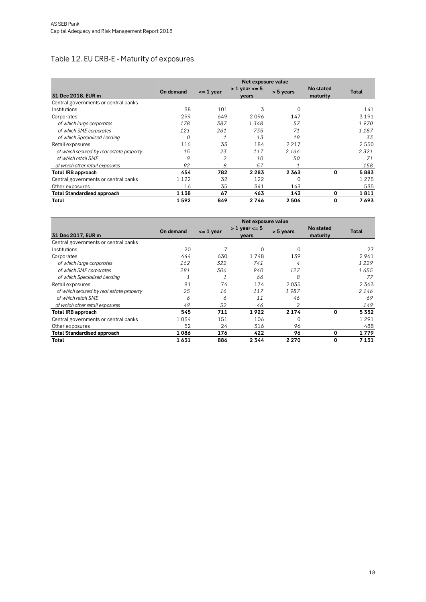### <span id="page-17-0"></span>Table 12. EU CRB-E - Maturity of exposures

|                                          |           |               | Net exposure value            |           |                       |         |
|------------------------------------------|-----------|---------------|-------------------------------|-----------|-----------------------|---------|
| 31 Dec 2018, EUR m                       | On demand | $\leq$ 1 year | $> 1$ year $\lt$ = 5<br>years | > 5 years | No stated<br>maturity | Total   |
| Central governments or central banks     |           |               |                               |           |                       |         |
| Institutions                             | 38        | 101           | 3                             | 0         |                       | 141     |
| Corporates                               | 299       | 649           | 2096                          | 147       |                       | 3 1 9 1 |
| of which large corporates                | 178       | 387           | 1348                          | 57        |                       | 1970    |
| of which SME corporates                  | 121       | 261           | 735                           | 71        |                       | 1187    |
| of which Specialised Lending             | 0         | 1             | 13                            | 19        |                       | 33      |
| Retail exposures                         | 116       | 33            | 184                           | 2 2 1 7   |                       | 2 5 5 0 |
| of which secured by real estate property | 15        | 23            | 117                           | 2166      |                       | 2321    |
| of which retail SME                      | 9         | 2             | 10                            | 50        |                       | 71      |
| of which other retail exposures          | 92        | 8             | 57                            |           |                       | 158     |
| <b>Total IRB approach</b>                | 454       | 782           | 2283                          | 2363      | 0                     | 5883    |
| Central governments or central banks     | 1 1 2 2   | 32            | 122                           | 0         |                       | 1 2 7 5 |
| Other exposures                          | 16        | 35            | 341                           | 143       |                       | 535     |
| <b>Total Standardised approach</b>       | 1 1 3 8   | 67            | 463                           | 143       | 0                     | 1811    |
| Total                                    | 1592      | 849           | 2746                          | 2506      | 0                     | 7693    |

|                                          | Net exposure value |               |                               |           |                       |              |  |
|------------------------------------------|--------------------|---------------|-------------------------------|-----------|-----------------------|--------------|--|
| 31 Dec 2017, EUR m                       | On demand          | $\leq$ 1 year | $> 1$ year $\lt$ = 5<br>vears | > 5 years | No stated<br>maturity | <b>Total</b> |  |
| Central governments or central banks     |                    |               |                               |           |                       |              |  |
| Institutions                             | 20                 |               | $\Omega$                      | 0         |                       | 27           |  |
| Corporates                               | 444                | 630           | 1748                          | 139       |                       | 2961         |  |
| of which large corporates                | 162                | 322           | 741                           | 4         |                       | 1229         |  |
| of which SME corporates                  | 281                | 306           | 940                           | 127       |                       | 1655         |  |
| of which Specialised Lending             |                    |               | 66                            | 8         |                       | 77           |  |
| Retail exposures                         | 81                 | 74            | 174                           | 2035      |                       | 2363         |  |
| of which secured by real estate property | 25                 | 16            | 117                           | 1987      |                       | 2146         |  |
| of which retail SME                      | 6                  | 6             | 11                            | 46        |                       | 69           |  |
| of which other retail exposures          | 49                 | 52            | 46                            | 2         |                       | 149          |  |
| <b>Total IRB approach</b>                | 545                | 711           | 1922                          | 2 1 7 4   | 0                     | 5352         |  |
| Central governments or central banks     | 1034               | 151           | 106                           | 0         |                       | 1 2 9 1      |  |
| Other exposures                          | 52                 | 24            | 316                           | 96        |                       | 488          |  |
| <b>Total Standardised approach</b>       | 1086               | 176           | 422                           | 96        | 0                     | 1779         |  |
| Total                                    | 1631               | 886           | 2344                          | 2 2 7 0   | 0                     | 7 1 3 1      |  |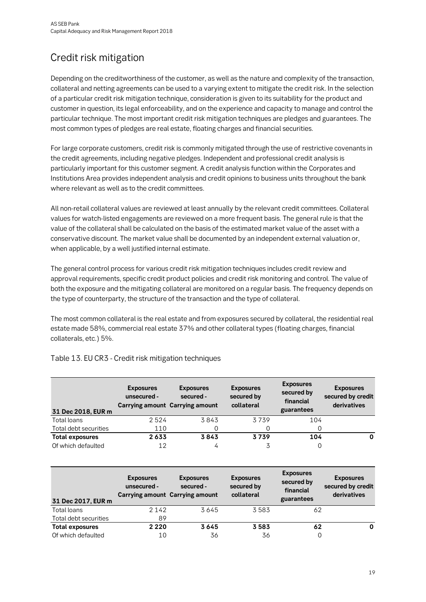# <span id="page-18-0"></span>Credit risk mitigation

Depending on the creditworthiness of the customer, as well as the nature and complexity of the transaction, collateral and netting agreements can be used to a varying extent to mitigate the credit risk. In the selection of a particular credit risk mitigation technique, consideration is given to its suitability for the product and customer in question, its legal enforceability, and on the experience and capacity to manage and control the particular technique. The most important credit risk mitigation techniques are pledges and guarantees. The most common types of pledges are real estate, floating charges and financial securities.

For large corporate customers, credit risk is commonly mitigated through the use of restrictive covenants in the credit agreements, including negative pledges. Independent and professional credit analysis is particularly important for this customer segment. A credit analysis function within the Corporates and Institutions Area provides independent analysis and credit opinions to business units throughout the bank where relevant as well as to the credit committees.

All non-retail collateral values are reviewed at least annually by the relevant credit committees. Collateral values for watch-listed engagements are reviewed on a more frequent basis. The general rule is that the value of the collateral shall be calculated on the basis of the estimated market value of the asset with a conservative discount. The market value shall be documented by an independent external valuation or, when applicable, by a well justified internal estimate.

The general control process for various credit risk mitigation techniques includes credit review and approval requirements, specific credit product policies and credit risk monitoring and control. The value of both the exposure and the mitigating collateral are monitored on a regular basis. The frequency depends on the type of counterparty, the structure of the transaction and the type of collateral.

The most common collateral is the real estate and from exposures secured by collateral, the residential real estate made 58%, commercial real estate 37% and other collateral types (floating charges, financial collaterals, etc.) 5%.

| 31 Dec 2018, EUR m     | <b>Exposures</b><br>unsecured -<br><b>Carrying amount Carrying amount</b> | <b>Exposures</b><br>secured - | <b>Exposures</b><br>secured by<br>collateral | <b>Exposures</b><br>secured by<br>financial<br>guarantees | <b>Exposures</b><br>secured by credit<br>derivatives |
|------------------------|---------------------------------------------------------------------------|-------------------------------|----------------------------------------------|-----------------------------------------------------------|------------------------------------------------------|
| Total loans            | 2524                                                                      | 3843                          | 3739                                         | 104                                                       |                                                      |
| Total debt securities  | 110                                                                       |                               | 0                                            |                                                           |                                                      |
| <b>Total exposures</b> | 2633                                                                      | 3843                          | 3739                                         | 104                                                       | 0                                                    |
| Of which defaulted     | 12                                                                        | 4                             | 3                                            | 0                                                         |                                                      |

#### <span id="page-18-1"></span>Table 13. EU CR3 - Credit risk mitigation techniques

| 31 Dec 2017, EUR m     | <b>Exposures</b><br>unsecured - | <b>Exposures</b><br>secured -<br><b>Carrying amount Carrying amount</b> | <b>Exposures</b><br>secured by<br>collateral | <b>Exposures</b><br>secured by<br>financial<br>guarantees | <b>Exposures</b><br>secured by credit<br>derivatives |
|------------------------|---------------------------------|-------------------------------------------------------------------------|----------------------------------------------|-----------------------------------------------------------|------------------------------------------------------|
| Total loans            | 2 1 4 2                         | 3645                                                                    | 3583                                         | 62                                                        |                                                      |
| Total debt securities  | 89                              |                                                                         |                                              |                                                           |                                                      |
| <b>Total exposures</b> | 2 2 2 0                         | 3645                                                                    | 3583                                         | 62                                                        | 0                                                    |
| Of which defaulted     | 10                              | 36                                                                      | 36                                           | 0                                                         |                                                      |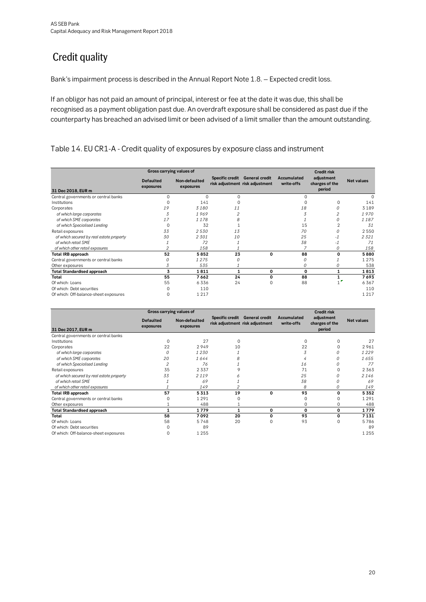# <span id="page-19-0"></span>**Credit quality**

Bank's impairment process is described in the Annual Report Note 1.8. – Expected credit loss.

If an obligor has not paid an amount of principal, interest or fee at the date it was due, this shall be recognised as a payment obligation past due. An overdraft exposure shall be considered as past due if the counterparty has breached an advised limit or been advised of a limit smaller than the amount outstanding.

#### <span id="page-19-1"></span>Table 14. EU CR1-A - Credit quality of exposures by exposure class and instrument

|                                          | Gross carrying values of      |                            |          |                                                                   |                           | <b>Credit risk</b>                     |                   |
|------------------------------------------|-------------------------------|----------------------------|----------|-------------------------------------------------------------------|---------------------------|----------------------------------------|-------------------|
| 31 Dec 2018, EUR m                       | <b>Defaulted</b><br>exposures | Non-defaulted<br>exposures |          | Specific credit General credit<br>risk adjustment risk adjustment | Accumulated<br>write-offs | adjustment<br>charges of the<br>period | <b>Net values</b> |
| Central governments or central banks     | 0                             | 0                          | $\Omega$ |                                                                   | $\Omega$                  |                                        | $\Omega$          |
| Institutions                             |                               | 141                        | 0        |                                                                   | $\Omega$                  | 0                                      | 141               |
| Corporates                               | 19                            | 3180                       | 11       |                                                                   | 18                        | 0                                      | 3189              |
| of which large corporates                | 3                             | 1969                       | 2        |                                                                   | 3                         | 2                                      | 1970              |
| of which SME corporates                  | 17                            | 1178                       | 8        |                                                                   |                           | 0                                      | 1187              |
| of which Specialised Lending             | 0                             | 32                         |          |                                                                   | 15                        | $\overline{2}$                         | 31                |
| Retail exposures                         | 33                            | 2530                       | 13       |                                                                   | 70                        | 0                                      | 2550              |
| of which secured by real estate property | 30                            | 2301                       | 10       |                                                                   | 25                        | $-1$                                   | 2321              |
| of which retail SME                      |                               | 72                         |          |                                                                   | 38                        | $-1$                                   | 71                |
| of which other retail exposures          | 2                             | 158                        |          |                                                                   | 7                         | 0                                      | 158               |
| <b>Total IRB approach</b>                | 52                            | 5852                       | 23       | 0                                                                 | 88                        | 0                                      | 5880              |
| Central governments or central banks     | Ω                             | 1275                       | $\Omega$ |                                                                   | 0                         |                                        | 1275              |
| Other exposures                          | 3                             | 535                        |          |                                                                   | 0                         | 0                                      | 538               |
| <b>Total Standardised approach</b>       | 3                             | 1811                       | 1        | 0                                                                 | 0                         | 1                                      | 1813              |
| Total                                    | 55                            | 7662                       | 24       | 0                                                                 | 88                        | 1                                      | 7693              |
| Of which: Loans                          | 55                            | 6336                       | 24       | $\Omega$                                                          | 88                        |                                        | 6367              |
| Of which: Debt securities                |                               | 110                        |          |                                                                   |                           |                                        | 110               |
| Of which: Off-balance-sheet exposures    | 0                             | 1217                       |          |                                                                   |                           |                                        | 1217              |

|                                          | Gross carrying values of      |                            |                        |                                                          |                           | <b>Credit risk</b>                     |                   |
|------------------------------------------|-------------------------------|----------------------------|------------------------|----------------------------------------------------------|---------------------------|----------------------------------------|-------------------|
| 31 Dec 2017, EUR m                       | <b>Defaulted</b><br>exposures | Non-defaulted<br>exposures | <b>Specific credit</b> | <b>General credit</b><br>risk adjustment risk adjustment | Accumulated<br>write-offs | adjustment<br>charges of the<br>period | <b>Net values</b> |
| Central governments or central banks     |                               |                            |                        |                                                          |                           |                                        |                   |
| Institutions                             | $\Omega$                      | 27                         | 0                      |                                                          | $\Omega$                  |                                        | 27                |
| Corporates                               | 22                            | 2949                       | 10                     |                                                          | 22                        | $\Omega$                               | 2961              |
| of which large corporates                | Ω                             | 1230                       |                        |                                                          | 3                         | 0                                      | 1229              |
| of which SME corporates                  | 20                            | 1644                       |                        |                                                          |                           | 0                                      | 1655              |
| of which Specialised Lending             |                               | 76                         |                        |                                                          | 16                        | 0                                      | 77                |
| Retail exposures                         | 35                            | 2337                       |                        |                                                          | 71                        | $\Omega$                               | 2363              |
| of which secured by real estate property | 33                            | 2119                       |                        |                                                          | 25                        | 0                                      | 2146              |
| of which retail SME                      |                               | 69                         |                        |                                                          | 38                        | 0                                      | 69                |
| of which other retail exposures          |                               | 149                        |                        |                                                          | 8                         | 0                                      | 149               |
| <b>Total IRB approach</b>                | 57                            | 5313                       | 19                     | $\Omega$                                                 | 93                        | 0                                      | 5352              |
| Central governments or central banks     |                               | 1291                       |                        |                                                          |                           |                                        | 1291              |
| Other exposures                          |                               | 488                        |                        |                                                          |                           | $\Omega$                               | 488               |
| <b>Total Standardised approach</b>       |                               | 1779                       |                        | 0                                                        | $\Omega$                  | 0                                      | 1779              |
| Total                                    | 58                            | 7092                       | 20                     | $\Omega$                                                 | 93                        | 0                                      | 7131              |
| Of which: Loans                          | 58                            | 5748                       | 20                     |                                                          | 93                        | $\Omega$                               | 5786              |
| Of which: Debt securities                |                               | 89                         |                        |                                                          |                           |                                        | 89                |
| Of which: Off-balance-sheet exposures    |                               | 1255                       |                        |                                                          |                           |                                        | 1 2 5 5           |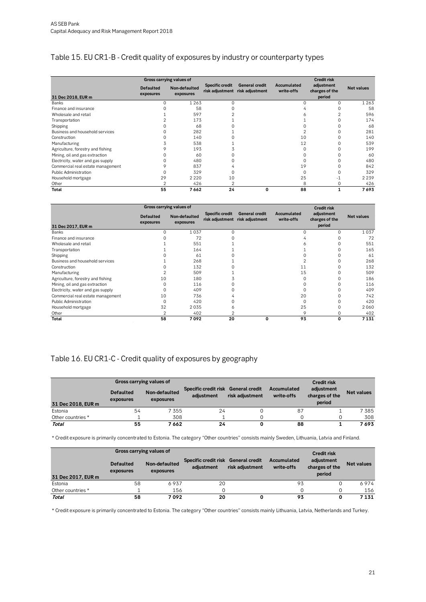### <span id="page-20-0"></span>Table 15. EU CR1-B - Credit quality of exposures by industry or counterparty types

|                                   |                               | Gross carrying values of   |                        |                                                          |                           | <b>Credit risk</b>                     |                   |
|-----------------------------------|-------------------------------|----------------------------|------------------------|----------------------------------------------------------|---------------------------|----------------------------------------|-------------------|
| 31 Dec 2018, EUR m                | <b>Defaulted</b><br>exposures | Non-defaulted<br>exposures | <b>Specific credit</b> | <b>General credit</b><br>risk adjustment risk adjustment | Accumulated<br>write-offs | adjustment<br>charges of the<br>period | <b>Net values</b> |
| Banks                             | 0                             | 1 2 6 3                    |                        |                                                          |                           | $\Omega$                               | 1263              |
| Finance and insurance             |                               | 58                         |                        |                                                          |                           |                                        | 58                |
| Wholesale and retail              |                               | 597                        |                        |                                                          |                           |                                        | 596               |
| Transportation                    |                               | 173                        |                        |                                                          |                           |                                        | 174               |
| Shipping                          |                               | 68                         |                        |                                                          |                           |                                        | 68                |
| Business and household services   |                               | 282                        |                        |                                                          |                           |                                        | 281               |
| Construction                      | $\Omega$                      | 140                        |                        |                                                          | 10                        |                                        | 140               |
| Manufacturing                     |                               | 538                        |                        |                                                          | 12                        |                                        | 539               |
| Agriculture, forestry and fishing |                               | 193                        |                        |                                                          |                           |                                        | 199               |
| Mining, oil and gas extraction    |                               | 60                         |                        |                                                          |                           |                                        | 60                |
| Electricity, water and gas supply | 0                             | 480                        |                        |                                                          |                           |                                        | 480               |
| Commercial real estate management | 9                             | 837                        |                        |                                                          | 19                        |                                        | 842               |
| <b>Public Administration</b>      | 0                             | 329                        |                        |                                                          | 0                         |                                        | 329               |
| Household mortgage                | 29                            | 2 2 2 0                    | 10                     |                                                          | 25                        | -1                                     | 2239              |
| Other                             | 2                             | 426                        | 2                      |                                                          | 8                         |                                        | 426               |
| Total                             | 55                            | 7662                       | 24                     | $\mathbf 0$                                              | 88                        |                                        | 7693              |

|                                   |                               | Gross carrying values of   |                        |                                                          |                           | <b>Credit risk</b>                     |            |  |
|-----------------------------------|-------------------------------|----------------------------|------------------------|----------------------------------------------------------|---------------------------|----------------------------------------|------------|--|
| 31 Dec 2017, EUR m                | <b>Defaulted</b><br>exposures | Non-defaulted<br>exposures | <b>Specific credit</b> | <b>General credit</b><br>risk adjustment risk adjustment | Accumulated<br>write-offs | adjustment<br>charges of the<br>period | Net values |  |
| Banks                             | Λ                             | 1037                       | 0                      |                                                          | $\Omega$                  | $\Omega$                               | 1037       |  |
| Finance and insurance             |                               | 72                         |                        |                                                          |                           |                                        | 72         |  |
| Wholesale and retail              |                               | 551                        |                        |                                                          |                           |                                        | 551        |  |
| Transportation                    |                               | 164                        |                        |                                                          |                           |                                        | 165        |  |
| Shipping                          |                               | 61                         |                        |                                                          |                           |                                        | 61         |  |
| Business and household services   |                               | 268                        |                        |                                                          |                           |                                        | 268        |  |
| Construction                      |                               | 132                        |                        |                                                          | 11                        |                                        | 132        |  |
| Manufacturing                     |                               | 509                        |                        |                                                          | 15                        |                                        | 509        |  |
| Agriculture, forestry and fishing | 10                            | 180                        |                        |                                                          | 0                         |                                        | 186        |  |
| Mining, oil and gas extraction    | $\Omega$                      | 116                        |                        |                                                          |                           |                                        | 116        |  |
| Electricity, water and gas supply |                               | 409                        |                        |                                                          | O                         |                                        | 409        |  |
| Commercial real estate management | 10                            | 736                        |                        |                                                          | 20                        |                                        | 742        |  |
| <b>Public Administration</b>      | $\Omega$                      | 420                        |                        |                                                          | $\Omega$                  |                                        | 420        |  |
| Household mortgage                | 32                            | 2035                       | Ô                      |                                                          | 25                        | 0                                      | 2060       |  |
| Other                             | $\overline{2}$                | 402                        | ⌒                      |                                                          | 9                         | $\Omega$                               | 402        |  |
| Total                             | 58                            | 7092                       | 20                     | 0                                                        | 93                        | 0                                      | 7131       |  |

### <span id="page-20-1"></span>Table 16. EU CR1-C - Credit quality of exposures by geography

|                    | Gross carrying values of      |                            |                                                   |                 |                           | <b>Credit risk</b>                     |                   |
|--------------------|-------------------------------|----------------------------|---------------------------------------------------|-----------------|---------------------------|----------------------------------------|-------------------|
| 31 Dec 2018, EUR m | <b>Defaulted</b><br>exposures | Non-defaulted<br>exposures | Specific credit risk General credit<br>adiustment | risk adjustment | Accumulated<br>write-offs | adjustment<br>charges of the<br>period | <b>Net values</b> |
| Estonia            | 54                            | 7 355                      | 24                                                |                 | 87                        |                                        | 7385              |
| Other countries *  |                               | 308                        |                                                   |                 |                           |                                        | 308               |
| Total              | 55                            | 7 662                      | 24                                                |                 | 88                        |                                        | 7693              |

\* Credit exposure is primarily concentrated to Estonia. The category "Other countries" consists mainly Sweden, Lithuania, Latvia and Finland.

|                    | Gross carrying values of      |                            | <b>Credit risk</b>                                |                 |                           |                                        |                   |
|--------------------|-------------------------------|----------------------------|---------------------------------------------------|-----------------|---------------------------|----------------------------------------|-------------------|
| 31 Dec 2017, EUR m | <b>Defaulted</b><br>exposures | Non-defaulted<br>exposures | Specific credit risk General credit<br>adiustment | risk adjustment | Accumulated<br>write-offs | adjustment<br>charges of the<br>period | <b>Net values</b> |
| Estonia            | 58                            | 6937                       | 20                                                |                 | 93                        |                                        | 6974              |
| Other countries *  |                               | 156                        |                                                   |                 |                           |                                        | 156               |
| Total              | 58                            | 7092                       | 20                                                | 0               | 93                        | 0                                      | 7131              |

\* Credit exposure is primarily concentrated to Estonia. The category "Other countries" consists mainly Lithuania, Latvia, Netherlands and Turkey.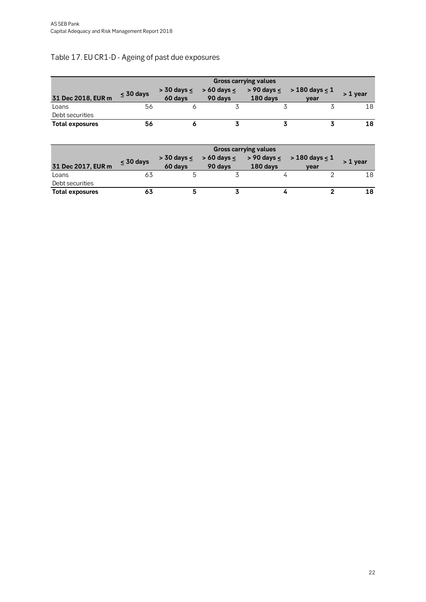### <span id="page-21-0"></span>Table 17. EU CR1-D - Ageing of past due exposures

|                        | <b>Gross carrying values</b> |                              |                               |          |                                                  |            |  |  |  |
|------------------------|------------------------------|------------------------------|-------------------------------|----------|--------------------------------------------------|------------|--|--|--|
| 31 Dec 2018, EUR m     | $\leq 30$ days               | $>$ 30 days $\le$<br>60 days | $> 60$ days $\leq$<br>90 days | 180 days | $>$ 90 days $\leq$ $>$ 180 days $\leq$ 1<br>vear | $> 1$ year |  |  |  |
| Loans                  | 56                           |                              |                               |          |                                                  | 18         |  |  |  |
| Debt securities        |                              |                              |                               |          |                                                  |            |  |  |  |
| <b>Total exposures</b> | 56                           |                              |                               |          |                                                  | 18         |  |  |  |

|                        | <b>Gross carrying values</b> |         |                                       |          |                                      |            |  |  |  |  |
|------------------------|------------------------------|---------|---------------------------------------|----------|--------------------------------------|------------|--|--|--|--|
|                        | $<$ 30 days                  |         | $>$ 30 days $\leq$ $>$ 60 days $\leq$ |          | > 90 days $\leq$ > 180 days $\leq$ 1 | $> 1$ vear |  |  |  |  |
| 31 Dec 2017, EUR m     |                              | 60 days | 90 days                               | 180 days | vear                                 |            |  |  |  |  |
| Loans                  | 63                           |         |                                       |          |                                      | 18         |  |  |  |  |
| Debt securities        |                              |         |                                       |          |                                      |            |  |  |  |  |
| <b>Total exposures</b> | 63                           |         |                                       |          |                                      |            |  |  |  |  |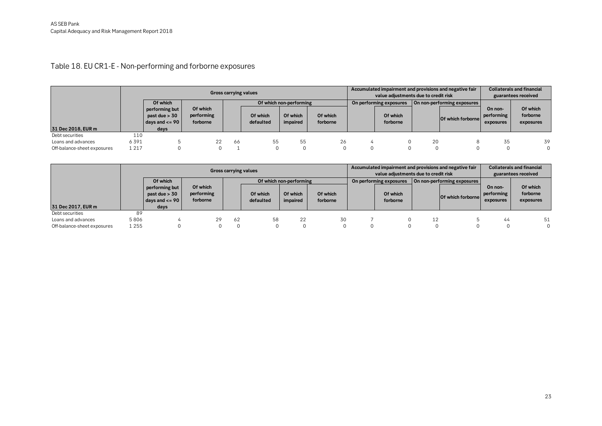Table 18. EU CR1-E - Non-performing and forborne exposures

|                             | <b>Gross carrying values</b> |                                                                   |                                    |     |                       |                         |                      | Accumulated impairment and provisions and negative fair<br>value adjustments due to credit risk |                         |    |                             | <b>Collaterals and financial</b><br>guarantees received |                                   |
|-----------------------------|------------------------------|-------------------------------------------------------------------|------------------------------------|-----|-----------------------|-------------------------|----------------------|-------------------------------------------------------------------------------------------------|-------------------------|----|-----------------------------|---------------------------------------------------------|-----------------------------------|
|                             |                              | Of which                                                          |                                    |     |                       | Of which non-performing |                      |                                                                                                 | On performing exposures |    | On non-performing exposures |                                                         |                                   |
| 31 Dec 2018, EUR m          |                              | performing but<br>past due $> 30$<br>days and $\leq$ = 90<br>days | Of which<br>performing<br>forborne |     | Of which<br>defaulted | Of which<br>impaired    | Of which<br>forborne |                                                                                                 | Of which<br>forborne    |    | Of which forborne           | On non-<br>performing<br>exposures                      | Of which<br>forborne<br>exposures |
| Debt securities             | 110                          |                                                                   |                                    |     |                       |                         |                      |                                                                                                 |                         |    |                             |                                                         |                                   |
| Loans and advances          | 6391                         |                                                                   | 22                                 | -66 | 55                    | 55                      | 26                   |                                                                                                 |                         | 20 |                             | 35                                                      | 39                                |
| Off-balance-sheet exposures | 1 2 1 7                      |                                                                   |                                    |     |                       |                         | 0                    |                                                                                                 |                         |    |                             |                                                         |                                   |

<span id="page-22-0"></span>

|                             | <b>Gross carrying values</b> |                                                                 |                                    |    |                       |                         |                      | Accumulated impairment and provisions and negative fair<br>value adjustments due to credit risk |                         |    |                             |                                    | <b>Collaterals and financial</b><br>guarantees received |
|-----------------------------|------------------------------|-----------------------------------------------------------------|------------------------------------|----|-----------------------|-------------------------|----------------------|-------------------------------------------------------------------------------------------------|-------------------------|----|-----------------------------|------------------------------------|---------------------------------------------------------|
|                             |                              | Of which                                                        |                                    |    |                       | Of which non-performing |                      |                                                                                                 | On performing exposures |    | On non-performing exposures |                                    |                                                         |
| 31 Dec 2017, EUR m          |                              | performing but<br>past due $> 30$<br>days and $\leq$ 90<br>days | Of which<br>performing<br>forborne |    | Of which<br>defaulted | Of which<br>impaired    | Of which<br>forborne |                                                                                                 | Of which<br>forborne    |    | Of which forborne           | On non-<br>performing<br>exposures | Of which<br>forborne<br>exposures                       |
| Debt securities             | 89                           |                                                                 |                                    |    |                       |                         |                      |                                                                                                 |                         |    |                             |                                    |                                                         |
| Loans and advances          | 5806                         |                                                                 | 29                                 | 62 | 58                    | 22                      | 30                   |                                                                                                 |                         | 12 |                             | 44                                 | 51                                                      |
| Off-balance-sheet exposures | 1 2 5 5                      |                                                                 |                                    |    |                       |                         |                      |                                                                                                 |                         |    |                             |                                    |                                                         |